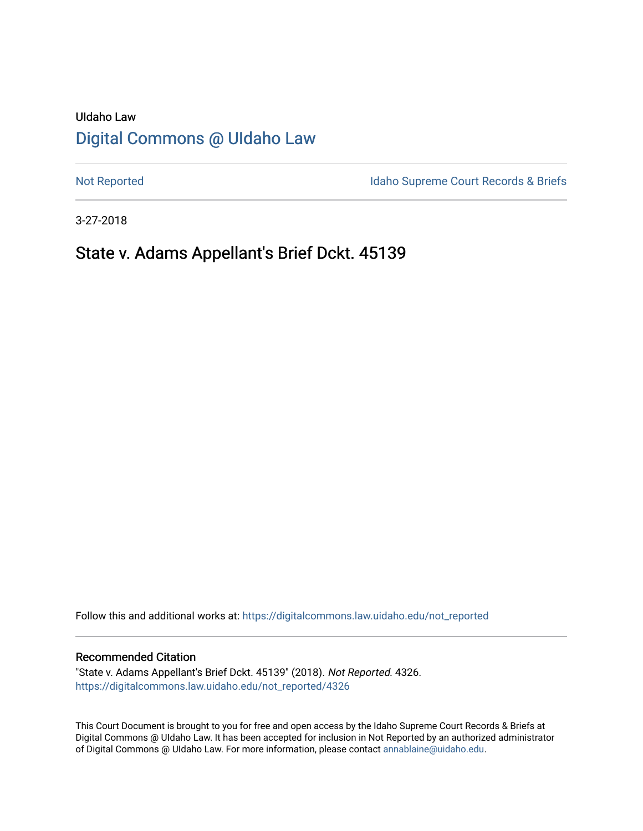# UIdaho Law [Digital Commons @ UIdaho Law](https://digitalcommons.law.uidaho.edu/)

[Not Reported](https://digitalcommons.law.uidaho.edu/not_reported) **Idaho Supreme Court Records & Briefs** 

3-27-2018

# State v. Adams Appellant's Brief Dckt. 45139

Follow this and additional works at: [https://digitalcommons.law.uidaho.edu/not\\_reported](https://digitalcommons.law.uidaho.edu/not_reported?utm_source=digitalcommons.law.uidaho.edu%2Fnot_reported%2F4326&utm_medium=PDF&utm_campaign=PDFCoverPages) 

#### Recommended Citation

"State v. Adams Appellant's Brief Dckt. 45139" (2018). Not Reported. 4326. [https://digitalcommons.law.uidaho.edu/not\\_reported/4326](https://digitalcommons.law.uidaho.edu/not_reported/4326?utm_source=digitalcommons.law.uidaho.edu%2Fnot_reported%2F4326&utm_medium=PDF&utm_campaign=PDFCoverPages)

This Court Document is brought to you for free and open access by the Idaho Supreme Court Records & Briefs at Digital Commons @ UIdaho Law. It has been accepted for inclusion in Not Reported by an authorized administrator of Digital Commons @ UIdaho Law. For more information, please contact [annablaine@uidaho.edu](mailto:annablaine@uidaho.edu).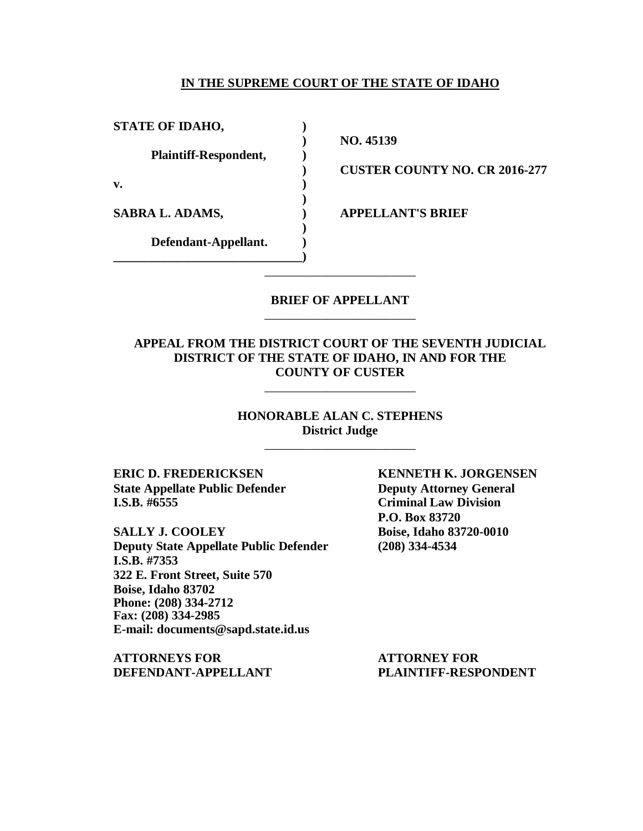#### **IN THE SUPREME COURT OF THE STATE OF IDAHO**

**STATE OF IDAHO, )**

**Plaintiff-Respondent, )**

**v. )**

**Defendant-Appellant. ) \_\_\_\_\_\_\_\_\_\_\_\_\_\_\_\_\_\_\_\_\_\_\_\_\_\_\_\_\_\_)**

**) NO. 45139**

**) CUSTER COUNTY NO. CR 2016-277**

**SABRA L. ADAMS, ) APPELLANT'S BRIEF**

## **BRIEF OF APPELLANT** \_\_\_\_\_\_\_\_\_\_\_\_\_\_\_\_\_\_\_\_\_\_\_\_

\_\_\_\_\_\_\_\_\_\_\_\_\_\_\_\_\_\_\_\_\_\_\_\_

**)**

**)**

## **APPEAL FROM THE DISTRICT COURT OF THE SEVENTH JUDICIAL DISTRICT OF THE STATE OF IDAHO, IN AND FOR THE COUNTY OF CUSTER**

\_\_\_\_\_\_\_\_\_\_\_\_\_\_\_\_\_\_\_\_\_\_\_\_

**HONORABLE ALAN C. STEPHENS District Judge**

\_\_\_\_\_\_\_\_\_\_\_\_\_\_\_\_\_\_\_\_\_\_\_\_

**ERIC D. FREDERICKSEN KENNETH K. JORGENSEN State Appellate Public Defender Deputy Attorney General I.S.B. #6555 Criminal Law Division**

**SALLY J. COOLEY Boise, Idaho 83720-0010 Deputy State Appellate Public Defender (208) 334-4534 I.S.B. #7353 322 E. Front Street, Suite 570 Boise, Idaho 83702 Phone: (208) 334-2712 Fax: (208) 334-2985 E-mail: documents@sapd.state.id.us**

**ATTORNEYS FOR ATTORNEY FOR DEFENDANT-APPELLANT PLAINTIFF-RESPONDENT**

**P.O. Box 83720**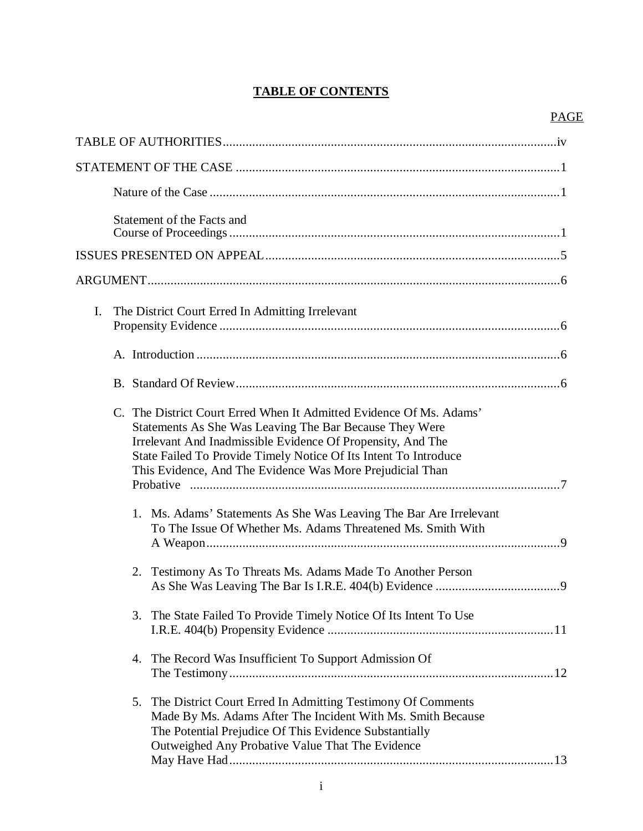## **TABLE OF CONTENTS**

## PAGE

| Statement of the Facts and                                                                                                                                                                                                                                                                                                                                                                                                                                          |
|---------------------------------------------------------------------------------------------------------------------------------------------------------------------------------------------------------------------------------------------------------------------------------------------------------------------------------------------------------------------------------------------------------------------------------------------------------------------|
|                                                                                                                                                                                                                                                                                                                                                                                                                                                                     |
|                                                                                                                                                                                                                                                                                                                                                                                                                                                                     |
| I.<br>The District Court Erred In Admitting Irrelevant                                                                                                                                                                                                                                                                                                                                                                                                              |
|                                                                                                                                                                                                                                                                                                                                                                                                                                                                     |
|                                                                                                                                                                                                                                                                                                                                                                                                                                                                     |
| C. The District Court Erred When It Admitted Evidence Of Ms. Adams'<br>Statements As She Was Leaving The Bar Because They Were<br>Irrelevant And Inadmissible Evidence Of Propensity, And The<br>State Failed To Provide Timely Notice Of Its Intent To Introduce<br>This Evidence, And The Evidence Was More Prejudicial Than<br>1. Ms. Adams' Statements As She Was Leaving The Bar Are Irrelevant<br>To The Issue Of Whether Ms. Adams Threatened Ms. Smith With |
| 2. Testimony As To Threats Ms. Adams Made To Another Person                                                                                                                                                                                                                                                                                                                                                                                                         |
| 3. The State Failed To Provide Timely Notice Of Its Intent To Use                                                                                                                                                                                                                                                                                                                                                                                                   |
| 4. The Record Was Insufficient To Support Admission Of                                                                                                                                                                                                                                                                                                                                                                                                              |
| 5. The District Court Erred In Admitting Testimony Of Comments<br>Made By Ms. Adams After The Incident With Ms. Smith Because<br>The Potential Prejudice Of This Evidence Substantially<br>Outweighed Any Probative Value That The Evidence                                                                                                                                                                                                                         |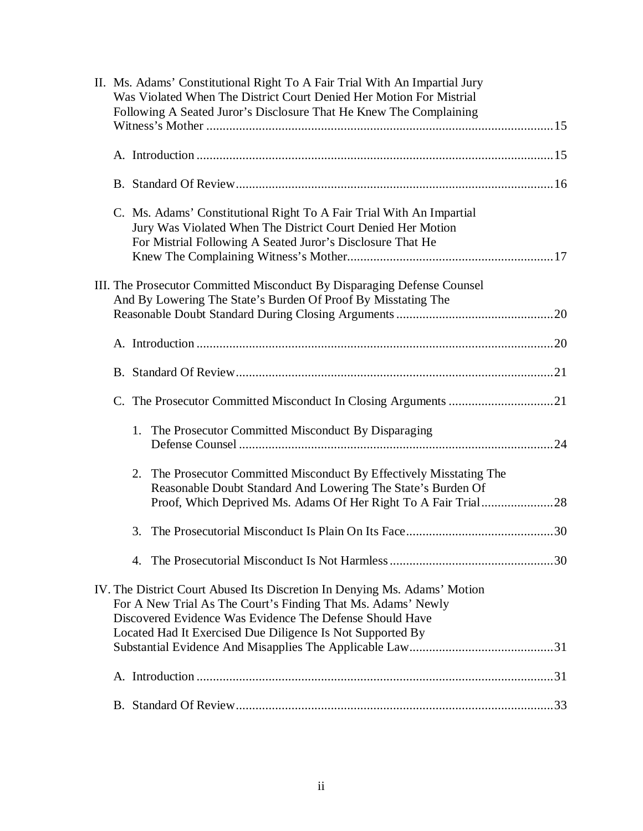| II. Ms. Adams' Constitutional Right To A Fair Trial With An Impartial Jury<br>Was Violated When The District Court Denied Her Motion For Mistrial<br>Following A Seated Juror's Disclosure That He Knew The Complaining                                             |
|---------------------------------------------------------------------------------------------------------------------------------------------------------------------------------------------------------------------------------------------------------------------|
|                                                                                                                                                                                                                                                                     |
|                                                                                                                                                                                                                                                                     |
|                                                                                                                                                                                                                                                                     |
| C. Ms. Adams' Constitutional Right To A Fair Trial With An Impartial<br>Jury Was Violated When The District Court Denied Her Motion<br>For Mistrial Following A Seated Juror's Disclosure That He                                                                   |
| III. The Prosecutor Committed Misconduct By Disparaging Defense Counsel<br>And By Lowering The State's Burden Of Proof By Misstating The                                                                                                                            |
|                                                                                                                                                                                                                                                                     |
|                                                                                                                                                                                                                                                                     |
|                                                                                                                                                                                                                                                                     |
|                                                                                                                                                                                                                                                                     |
| 1. The Prosecutor Committed Misconduct By Disparaging                                                                                                                                                                                                               |
| 2. The Prosecutor Committed Misconduct By Effectively Misstating The<br>Reasonable Doubt Standard And Lowering The State's Burden Of                                                                                                                                |
|                                                                                                                                                                                                                                                                     |
|                                                                                                                                                                                                                                                                     |
| IV. The District Court Abused Its Discretion In Denying Ms. Adams' Motion<br>For A New Trial As The Court's Finding That Ms. Adams' Newly<br>Discovered Evidence Was Evidence The Defense Should Have<br>Located Had It Exercised Due Diligence Is Not Supported By |
|                                                                                                                                                                                                                                                                     |
|                                                                                                                                                                                                                                                                     |
|                                                                                                                                                                                                                                                                     |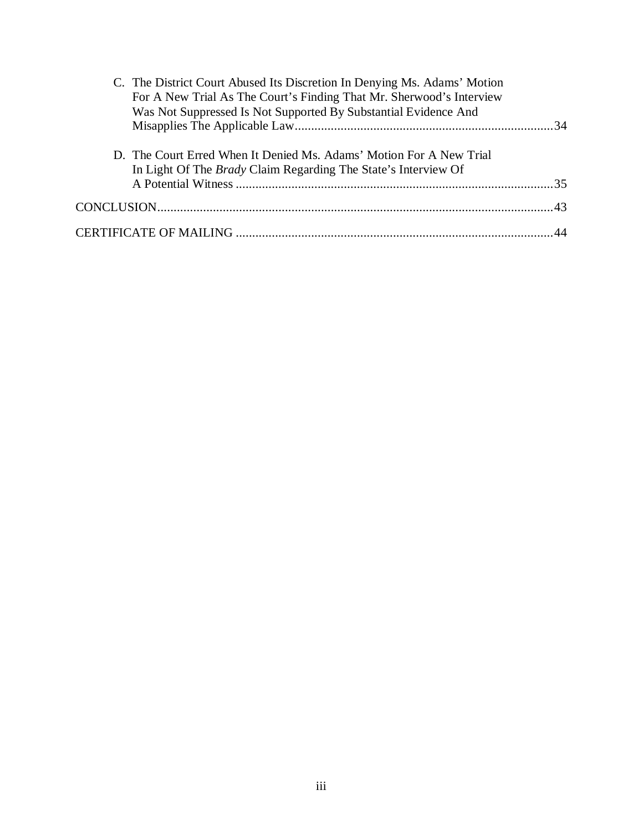| C. The District Court Abused Its Discretion In Denying Ms. Adams' Motion<br>For A New Trial As The Court's Finding That Mr. Sherwood's Interview<br>Was Not Suppressed Is Not Supported By Substantial Evidence And |  |
|---------------------------------------------------------------------------------------------------------------------------------------------------------------------------------------------------------------------|--|
| D. The Court Erred When It Denied Ms. Adams' Motion For A New Trial<br>In Light Of The <i>Brady</i> Claim Regarding The State's Interview Of                                                                        |  |
|                                                                                                                                                                                                                     |  |
|                                                                                                                                                                                                                     |  |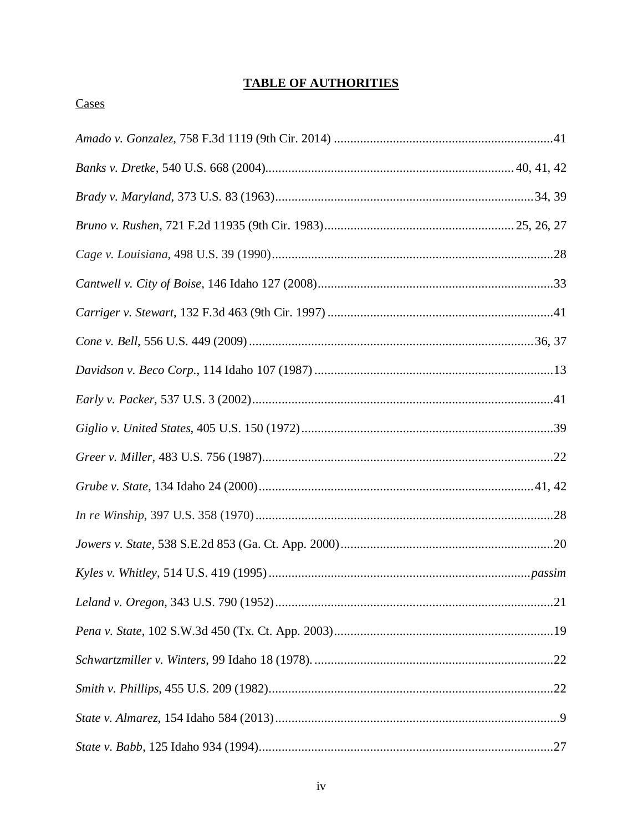## **TABLE OF AUTHORITIES**

## Cases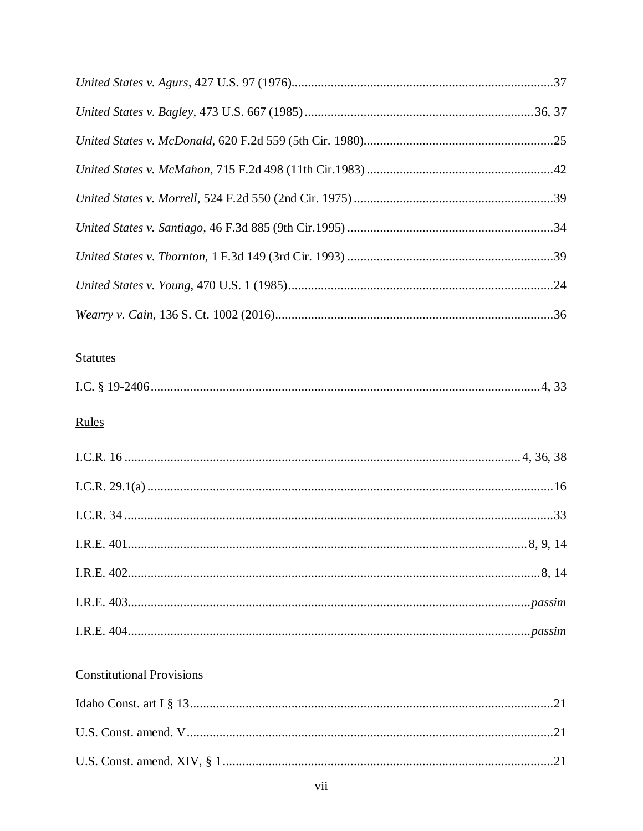## **Statutes**

|--|

## Rules

| $I.R.E. 403 passim$                                                                                                                  |  |
|--------------------------------------------------------------------------------------------------------------------------------------|--|
| $\label{eq:1.1} \textbf{I.R.E. 404}.\textit{} \textit{} \textit{} \textit{} \textit{} \textit{} \textit{} \textit{} \textit{passim}$ |  |

## **Constitutional Provisions**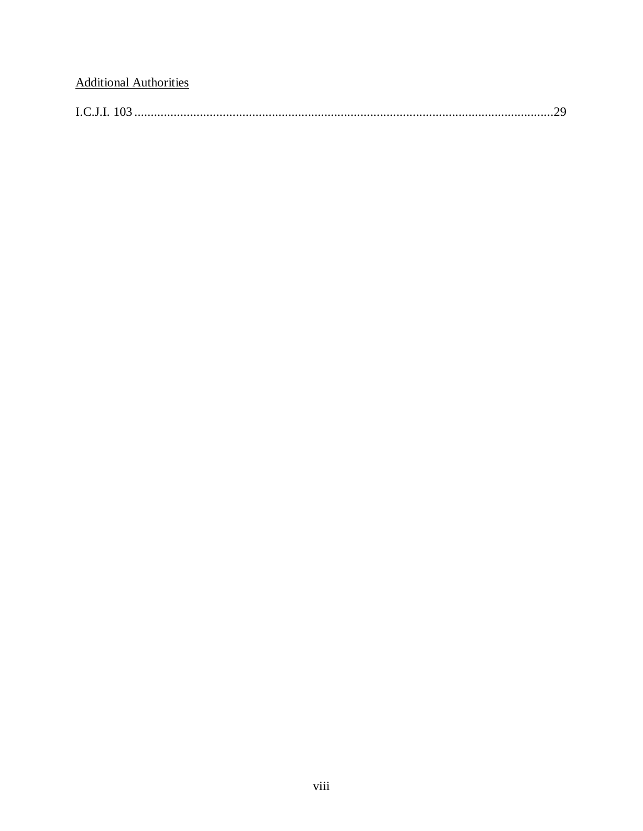## **Additional Authorities**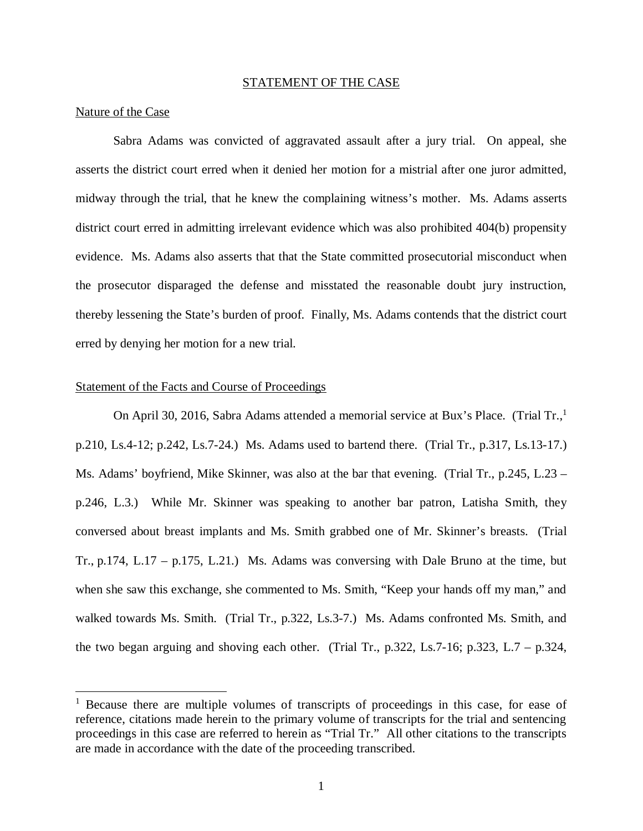#### STATEMENT OF THE CASE

#### Nature of the Case

Sabra Adams was convicted of aggravated assault after a jury trial. On appeal, she asserts the district court erred when it denied her motion for a mistrial after one juror admitted, midway through the trial, that he knew the complaining witness's mother. Ms. Adams asserts district court erred in admitting irrelevant evidence which was also prohibited 404(b) propensity evidence. Ms. Adams also asserts that that the State committed prosecutorial misconduct when the prosecutor disparaged the defense and misstated the reasonable doubt jury instruction, thereby lessening the State's burden of proof. Finally, Ms. Adams contends that the district court erred by denying her motion for a new trial.

#### Statement of the Facts and Course of Proceedings

On April 30, 20[1](#page-10-0)6, Sabra Adams attended a memorial service at Bux's Place. (Trial Tr..<sup>1</sup>) p.210, Ls.4-12; p.242, Ls.7-24.) Ms. Adams used to bartend there. (Trial Tr., p.317, Ls.13-17.) Ms. Adams' boyfriend, Mike Skinner, was also at the bar that evening. (Trial Tr., p.245, L.23 – p.246, L.3.) While Mr. Skinner was speaking to another bar patron, Latisha Smith, they conversed about breast implants and Ms. Smith grabbed one of Mr. Skinner's breasts. (Trial Tr., p.174, L.17 – p.175, L.21.) Ms. Adams was conversing with Dale Bruno at the time, but when she saw this exchange, she commented to Ms. Smith, "Keep your hands off my man," and walked towards Ms. Smith. (Trial Tr., p.322, Ls.3-7.) Ms. Adams confronted Ms. Smith, and the two began arguing and shoving each other. (Trial Tr.,  $p.322$ , Ls.7-16;  $p.323$ , L.7 –  $p.324$ ,

<span id="page-10-0"></span><sup>&</sup>lt;sup>1</sup> Because there are multiple volumes of transcripts of proceedings in this case, for ease of reference, citations made herein to the primary volume of transcripts for the trial and sentencing proceedings in this case are referred to herein as "Trial Tr." All other citations to the transcripts are made in accordance with the date of the proceeding transcribed.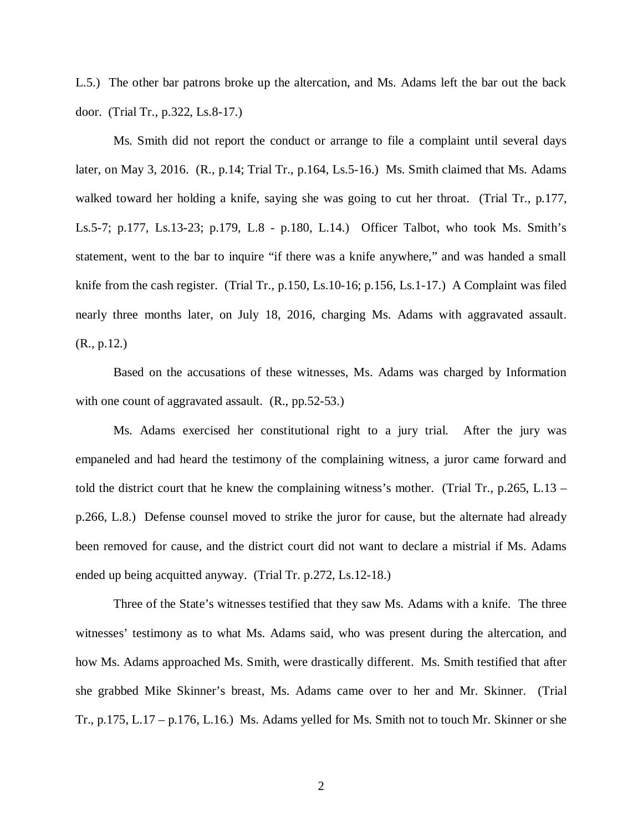L.5.) The other bar patrons broke up the altercation, and Ms. Adams left the bar out the back door. (Trial Tr., p.322, Ls.8-17.)

Ms. Smith did not report the conduct or arrange to file a complaint until several days later, on May 3, 2016. (R., p.14; Trial Tr., p.164, Ls.5-16.) Ms. Smith claimed that Ms. Adams walked toward her holding a knife, saying she was going to cut her throat. (Trial Tr., p.177, Ls.5-7; p.177, Ls.13-23; p.179, L.8 - p.180, L.14.) Officer Talbot, who took Ms. Smith's statement, went to the bar to inquire "if there was a knife anywhere," and was handed a small knife from the cash register. (Trial Tr., p.150, Ls.10-16; p.156, Ls.1-17.) A Complaint was filed nearly three months later, on July 18, 2016, charging Ms. Adams with aggravated assault. (R., p.12.)

Based on the accusations of these witnesses, Ms. Adams was charged by Information with one count of aggravated assault. (R., pp.52-53.)

Ms. Adams exercised her constitutional right to a jury trial. After the jury was empaneled and had heard the testimony of the complaining witness, a juror came forward and told the district court that he knew the complaining witness's mother. (Trial Tr., p.265, L.13 – p.266, L.8.) Defense counsel moved to strike the juror for cause, but the alternate had already been removed for cause, and the district court did not want to declare a mistrial if Ms. Adams ended up being acquitted anyway. (Trial Tr. p.272, Ls.12-18.)

Three of the State's witnesses testified that they saw Ms. Adams with a knife. The three witnesses' testimony as to what Ms. Adams said, who was present during the altercation, and how Ms. Adams approached Ms. Smith, were drastically different. Ms. Smith testified that after she grabbed Mike Skinner's breast, Ms. Adams came over to her and Mr. Skinner. (Trial Tr., p.175, L.17 – p.176, L.16.) Ms. Adams yelled for Ms. Smith not to touch Mr. Skinner or she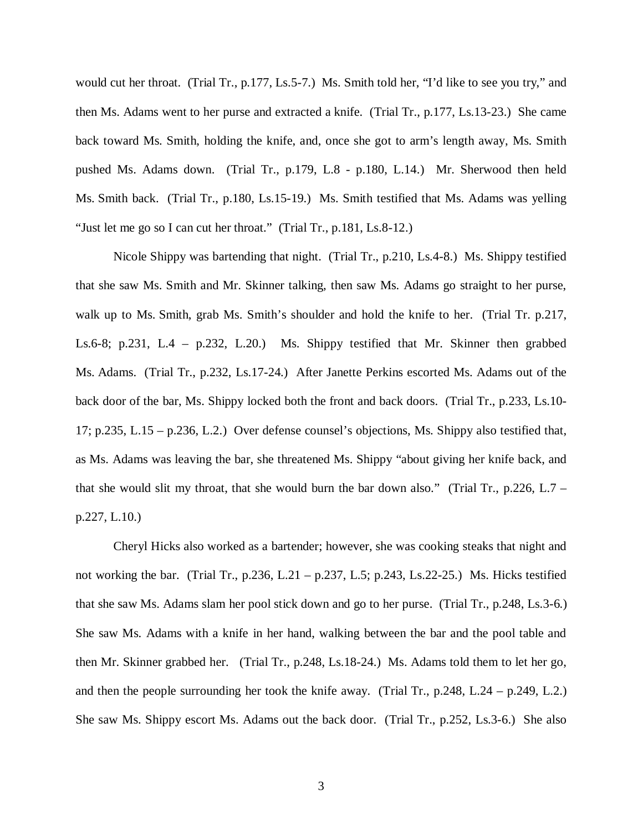would cut her throat. (Trial Tr., p.177, Ls.5-7.) Ms. Smith told her, "I'd like to see you try," and then Ms. Adams went to her purse and extracted a knife. (Trial Tr., p.177, Ls.13-23.) She came back toward Ms. Smith, holding the knife, and, once she got to arm's length away, Ms. Smith pushed Ms. Adams down. (Trial Tr., p.179, L.8 - p.180, L.14.) Mr. Sherwood then held Ms. Smith back. (Trial Tr., p.180, Ls.15-19.) Ms. Smith testified that Ms. Adams was yelling "Just let me go so I can cut her throat." (Trial Tr., p.181, Ls.8-12.)

Nicole Shippy was bartending that night. (Trial Tr., p.210, Ls.4-8.) Ms. Shippy testified that she saw Ms. Smith and Mr. Skinner talking, then saw Ms. Adams go straight to her purse, walk up to Ms. Smith, grab Ms. Smith's shoulder and hold the knife to her. (Trial Tr. p.217, Ls.6-8; p.231, L.4 – p.232, L.20.) Ms. Shippy testified that Mr. Skinner then grabbed Ms. Adams. (Trial Tr., p.232, Ls.17-24.) After Janette Perkins escorted Ms. Adams out of the back door of the bar, Ms. Shippy locked both the front and back doors. (Trial Tr., p.233, Ls.10- 17; p.235, L.15 – p.236, L.2.) Over defense counsel's objections, Ms. Shippy also testified that, as Ms. Adams was leaving the bar, she threatened Ms. Shippy "about giving her knife back, and that she would slit my throat, that she would burn the bar down also." (Trial Tr., p.226, L.7 – p.227, L.10.)

Cheryl Hicks also worked as a bartender; however, she was cooking steaks that night and not working the bar. (Trial Tr., p.236, L.21 – p.237, L.5; p.243, Ls.22-25.) Ms. Hicks testified that she saw Ms. Adams slam her pool stick down and go to her purse. (Trial Tr., p.248, Ls.3-6.) She saw Ms. Adams with a knife in her hand, walking between the bar and the pool table and then Mr. Skinner grabbed her. (Trial Tr., p.248, Ls.18-24.) Ms. Adams told them to let her go, and then the people surrounding her took the knife away. (Trial Tr.,  $p.248$ , L.24 –  $p.249$ , L.2.) She saw Ms. Shippy escort Ms. Adams out the back door. (Trial Tr., p.252, Ls.3-6.) She also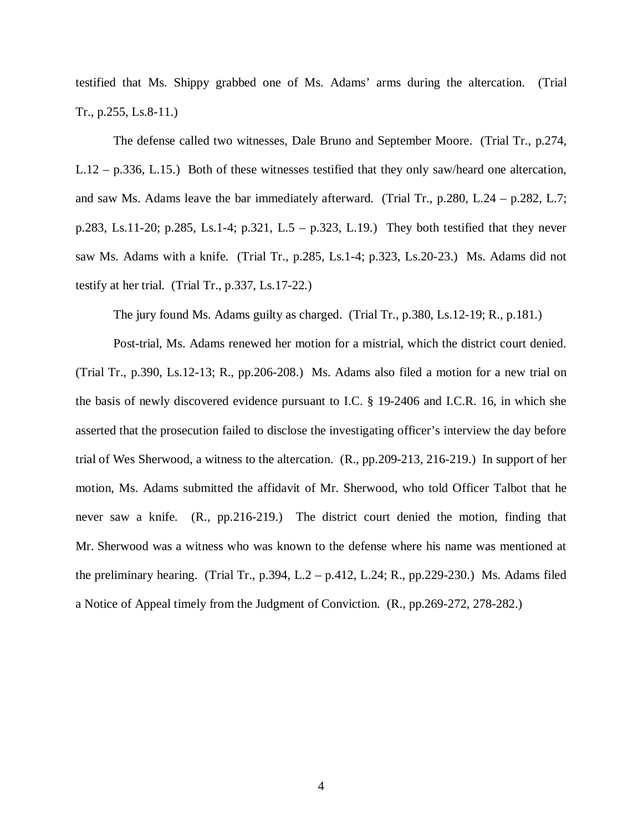testified that Ms. Shippy grabbed one of Ms. Adams' arms during the altercation. (Trial Tr., p.255, Ls.8-11.)

The defense called two witnesses, Dale Bruno and September Moore. (Trial Tr., p.274, L.12 – p.336, L.15.) Both of these witnesses testified that they only saw/heard one altercation, and saw Ms. Adams leave the bar immediately afterward. (Trial Tr., p.280, L.24 – p.282, L.7; p.283, Ls.11-20; p.285, Ls.1-4; p.321, L.5 – p.323, L.19.) They both testified that they never saw Ms. Adams with a knife. (Trial Tr., p.285, Ls.1-4; p.323, Ls.20-23.) Ms. Adams did not testify at her trial. (Trial Tr., p.337, Ls.17-22.)

The jury found Ms. Adams guilty as charged. (Trial Tr., p.380, Ls.12-19; R., p.181.)

Post-trial, Ms. Adams renewed her motion for a mistrial, which the district court denied. (Trial Tr., p.390, Ls.12-13; R., pp.206-208.) Ms. Adams also filed a motion for a new trial on the basis of newly discovered evidence pursuant to I.C. § 19-2406 and I.C.R. 16, in which she asserted that the prosecution failed to disclose the investigating officer's interview the day before trial of Wes Sherwood, a witness to the altercation. (R., pp.209-213, 216-219.) In support of her motion, Ms. Adams submitted the affidavit of Mr. Sherwood, who told Officer Talbot that he never saw a knife. (R., pp.216-219.) The district court denied the motion, finding that Mr. Sherwood was a witness who was known to the defense where his name was mentioned at the preliminary hearing. (Trial Tr., p.394, L.2 – p.412, L.24; R., pp.229-230.) Ms. Adams filed a Notice of Appeal timely from the Judgment of Conviction. (R., pp.269-272, 278-282.)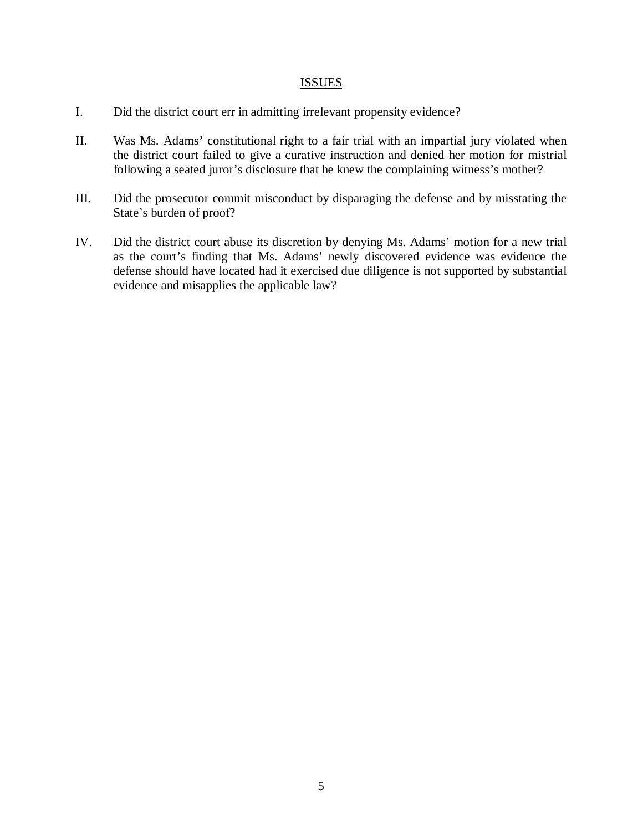#### ISSUES

- I. Did the district court err in admitting irrelevant propensity evidence?
- II. Was Ms. Adams' constitutional right to a fair trial with an impartial jury violated when the district court failed to give a curative instruction and denied her motion for mistrial following a seated juror's disclosure that he knew the complaining witness's mother?
- III. Did the prosecutor commit misconduct by disparaging the defense and by misstating the State's burden of proof?
- IV. Did the district court abuse its discretion by denying Ms. Adams' motion for a new trial as the court's finding that Ms. Adams' newly discovered evidence was evidence the defense should have located had it exercised due diligence is not supported by substantial evidence and misapplies the applicable law?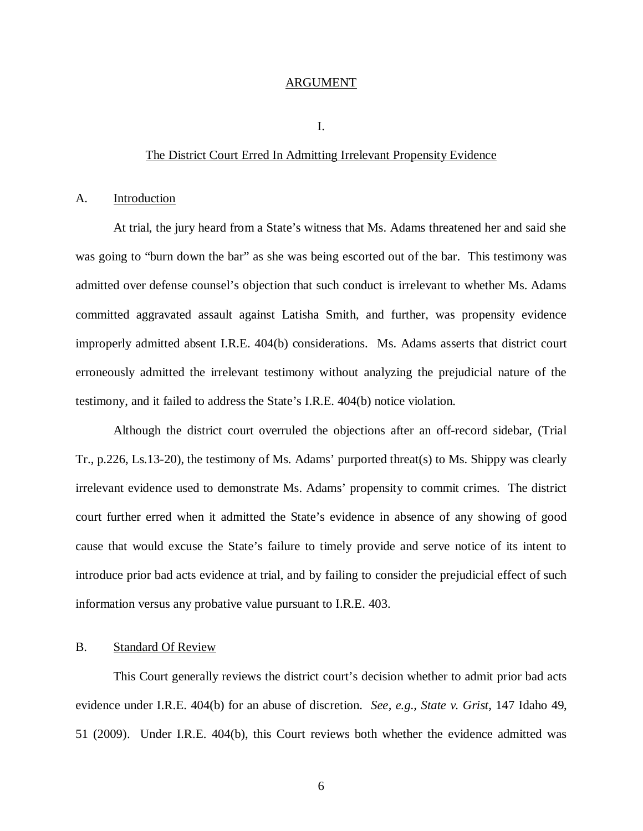#### ARGUMENT

I.

#### The District Court Erred In Admitting Irrelevant Propensity Evidence

#### A. Introduction

At trial, the jury heard from a State's witness that Ms. Adams threatened her and said she was going to "burn down the bar" as she was being escorted out of the bar. This testimony was admitted over defense counsel's objection that such conduct is irrelevant to whether Ms. Adams committed aggravated assault against Latisha Smith, and further, was propensity evidence improperly admitted absent I.R.E. 404(b) considerations. Ms. Adams asserts that district court erroneously admitted the irrelevant testimony without analyzing the prejudicial nature of the testimony, and it failed to address the State's I.R.E. 404(b) notice violation.

Although the district court overruled the objections after an off-record sidebar, (Trial Tr., p.226, Ls.13-20), the testimony of Ms. Adams' purported threat(s) to Ms. Shippy was clearly irrelevant evidence used to demonstrate Ms. Adams' propensity to commit crimes. The district court further erred when it admitted the State's evidence in absence of any showing of good cause that would excuse the State's failure to timely provide and serve notice of its intent to introduce prior bad acts evidence at trial, and by failing to consider the prejudicial effect of such information versus any probative value pursuant to I.R.E. 403.

### B. Standard Of Review

This Court generally reviews the district court's decision whether to admit prior bad acts evidence under I.R.E. 404(b) for an abuse of discretion. *See, e.g., State v. Grist*, 147 Idaho 49, 51 (2009). Under I.R.E. 404(b), this Court reviews both whether the evidence admitted was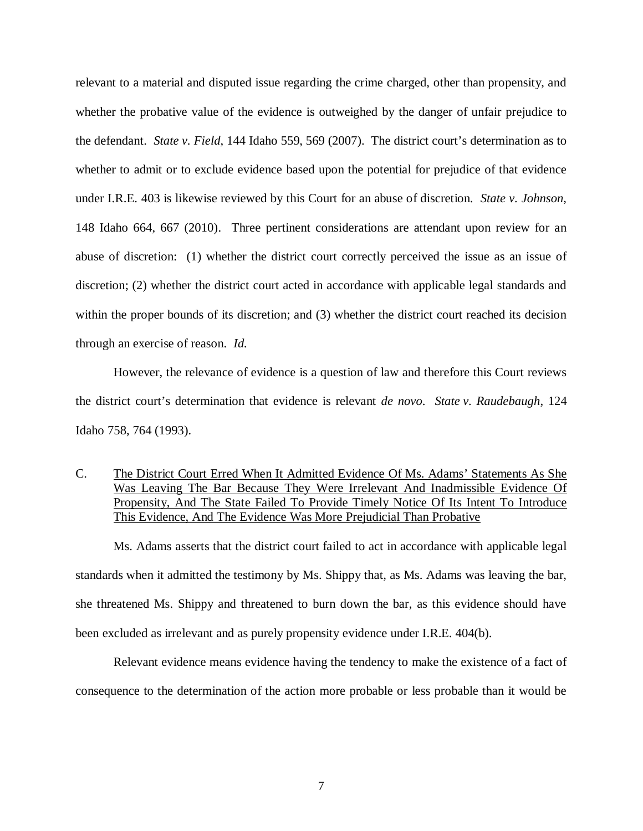relevant to a material and disputed issue regarding the crime charged, other than propensity, and whether the probative value of the evidence is outweighed by the danger of unfair prejudice to the defendant. *State v. Field*, 144 Idaho 559, 569 (2007). The district court's determination as to whether to admit or to exclude evidence based upon the potential for prejudice of that evidence under I.R.E. 403 is likewise reviewed by this Court for an abuse of discretion. *State v. Johnson*, 148 Idaho 664, 667 (2010). Three pertinent considerations are attendant upon review for an abuse of discretion: (1) whether the district court correctly perceived the issue as an issue of discretion; (2) whether the district court acted in accordance with applicable legal standards and within the proper bounds of its discretion; and (3) whether the district court reached its decision through an exercise of reason. *Id*.

However, the relevance of evidence is a question of law and therefore this Court reviews the district court's determination that evidence is relevant *de novo*. *State v. Raudebaugh*, 124 Idaho 758, 764 (1993).

C. The District Court Erred When It Admitted Evidence Of Ms. Adams' Statements As She Was Leaving The Bar Because They Were Irrelevant And Inadmissible Evidence Of Propensity, And The State Failed To Provide Timely Notice Of Its Intent To Introduce This Evidence, And The Evidence Was More Prejudicial Than Probative

Ms. Adams asserts that the district court failed to act in accordance with applicable legal standards when it admitted the testimony by Ms. Shippy that, as Ms. Adams was leaving the bar, she threatened Ms. Shippy and threatened to burn down the bar, as this evidence should have been excluded as irrelevant and as purely propensity evidence under I.R.E. 404(b).

Relevant evidence means evidence having the tendency to make the existence of a fact of consequence to the determination of the action more probable or less probable than it would be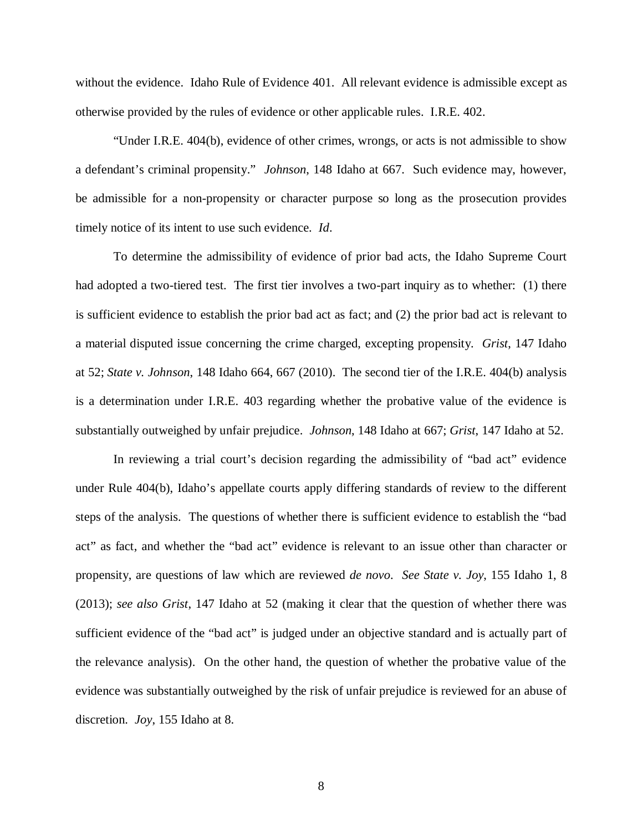without the evidence. Idaho Rule of Evidence 401. All relevant evidence is admissible except as otherwise provided by the rules of evidence or other applicable rules. I.R.E. 402.

"Under I.R.E. 404(b), evidence of other crimes, wrongs, or acts is not admissible to show a defendant's criminal propensity." *Johnson*, 148 Idaho at 667. Such evidence may, however, be admissible for a non-propensity or character purpose so long as the prosecution provides timely notice of its intent to use such evidence. *Id*.

To determine the admissibility of evidence of prior bad acts, the Idaho Supreme Court had adopted a two-tiered test. The first tier involves a two-part inquiry as to whether: (1) there is sufficient evidence to establish the prior bad act as fact; and (2) the prior bad act is relevant to a material disputed issue concerning the crime charged, excepting propensity. *Grist*, 147 Idaho at 52; *State v. Johnson*, 148 Idaho 664, 667 (2010). The second tier of the I.R.E. 404(b) analysis is a determination under I.R.E. 403 regarding whether the probative value of the evidence is substantially outweighed by unfair prejudice. *Johnson*, 148 Idaho at 667; *Grist*, 147 Idaho at 52.

In reviewing a trial court's decision regarding the admissibility of "bad act" evidence under Rule 404(b), Idaho's appellate courts apply differing standards of review to the different steps of the analysis. The questions of whether there is sufficient evidence to establish the "bad act" as fact, and whether the "bad act" evidence is relevant to an issue other than character or propensity, are questions of law which are reviewed *de novo*. *See State v. Joy*, 155 Idaho 1, 8 (2013); *see also Grist*, 147 Idaho at 52 (making it clear that the question of whether there was sufficient evidence of the "bad act" is judged under an objective standard and is actually part of the relevance analysis). On the other hand, the question of whether the probative value of the evidence was substantially outweighed by the risk of unfair prejudice is reviewed for an abuse of discretion. *Joy*, 155 Idaho at 8.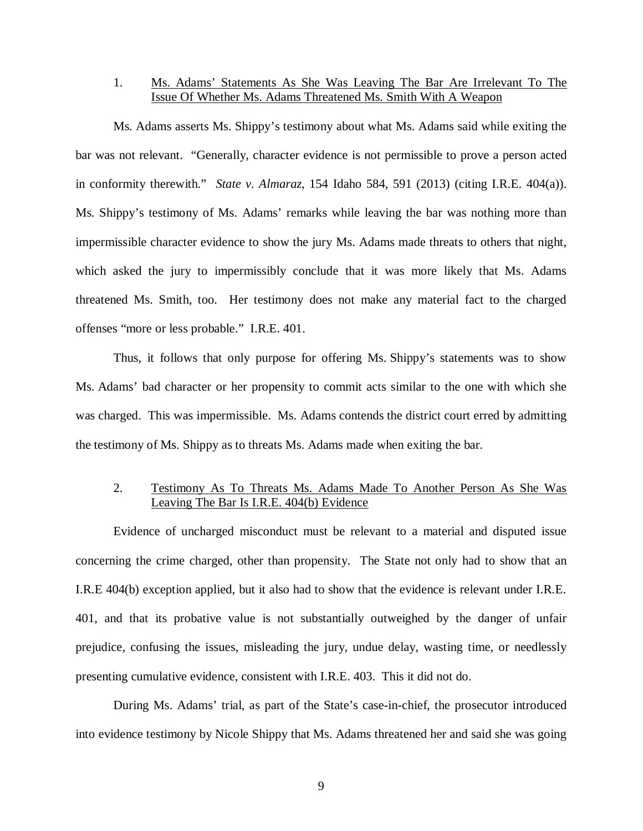## 1. Ms. Adams' Statements As She Was Leaving The Bar Are Irrelevant To The Issue Of Whether Ms. Adams Threatened Ms. Smith With A Weapon

Ms. Adams asserts Ms. Shippy's testimony about what Ms. Adams said while exiting the bar was not relevant. "Generally, character evidence is not permissible to prove a person acted in conformity therewith." *State v. Almaraz*, 154 Idaho 584, 591 (2013) (citing I.R.E. 404(a)). Ms. Shippy's testimony of Ms. Adams' remarks while leaving the bar was nothing more than impermissible character evidence to show the jury Ms. Adams made threats to others that night, which asked the jury to impermissibly conclude that it was more likely that Ms. Adams threatened Ms. Smith, too. Her testimony does not make any material fact to the charged offenses "more or less probable." I.R.E. 401.

Thus, it follows that only purpose for offering Ms. Shippy's statements was to show Ms. Adams' bad character or her propensity to commit acts similar to the one with which she was charged. This was impermissible. Ms. Adams contends the district court erred by admitting the testimony of Ms. Shippy as to threats Ms. Adams made when exiting the bar.

### 2. Testimony As To Threats Ms. Adams Made To Another Person As She Was Leaving The Bar Is I.R.E. 404(b) Evidence

Evidence of uncharged misconduct must be relevant to a material and disputed issue concerning the crime charged, other than propensity. The State not only had to show that an I.R.E 404(b) exception applied, but it also had to show that the evidence is relevant under I.R.E. 401, and that its probative value is not substantially outweighed by the danger of unfair prejudice, confusing the issues, misleading the jury, undue delay, wasting time, or needlessly presenting cumulative evidence, consistent with I.R.E. 403. This it did not do.

During Ms. Adams' trial, as part of the State's case-in-chief, the prosecutor introduced into evidence testimony by Nicole Shippy that Ms. Adams threatened her and said she was going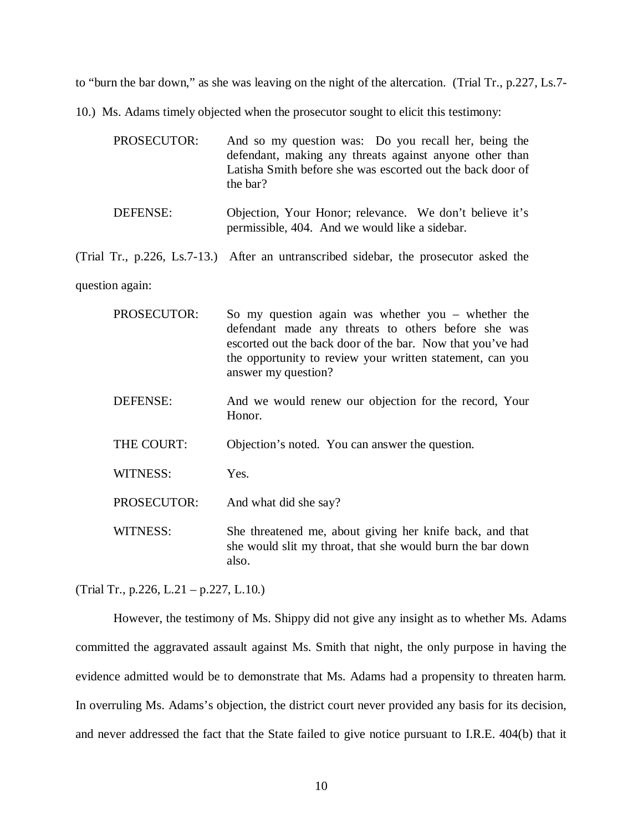to "burn the bar down," as she was leaving on the night of the altercation. (Trial Tr., p.227, Ls.7-

10.) Ms. Adams timely objected when the prosecutor sought to elicit this testimony:

| <b>PROSECUTOR:</b> | And so my question was: Do you recall her, being the<br>defendant, making any threats against anyone other than<br>Latisha Smith before she was escorted out the back door of<br>the bar? |
|--------------------|-------------------------------------------------------------------------------------------------------------------------------------------------------------------------------------------|
| DEFENSE:           | Objection, Your Honor; relevance. We don't believe it's<br>permissible, 404. And we would like a sidebar.                                                                                 |
|                    | (Trial Tr., p.226, Ls.7-13.) After an untranscribed sidebar, the prosecutor asked the                                                                                                     |

question again:

| <b>PROSECUTOR:</b> | So my question again was whether you – whether the<br>defendant made any threats to others before she was<br>escorted out the back door of the bar. Now that you've had<br>the opportunity to review your written statement, can you<br>answer my question? |
|--------------------|-------------------------------------------------------------------------------------------------------------------------------------------------------------------------------------------------------------------------------------------------------------|
| DEFENSE:           | And we would renew our objection for the record, Your<br>Honor.                                                                                                                                                                                             |
| THE COURT:         | Objection's noted. You can answer the question.                                                                                                                                                                                                             |
| <b>WITNESS:</b>    | Yes.                                                                                                                                                                                                                                                        |
| PROSECUTOR:        | And what did she say?                                                                                                                                                                                                                                       |
| WITNESS:           | She threatened me, about giving her knife back, and that<br>she would slit my throat, that she would burn the bar down<br>also.                                                                                                                             |

(Trial Tr., p.226, L.21 – p.227, L.10.)

However, the testimony of Ms. Shippy did not give any insight as to whether Ms. Adams committed the aggravated assault against Ms. Smith that night, the only purpose in having the evidence admitted would be to demonstrate that Ms. Adams had a propensity to threaten harm. In overruling Ms. Adams's objection, the district court never provided any basis for its decision, and never addressed the fact that the State failed to give notice pursuant to I.R.E. 404(b) that it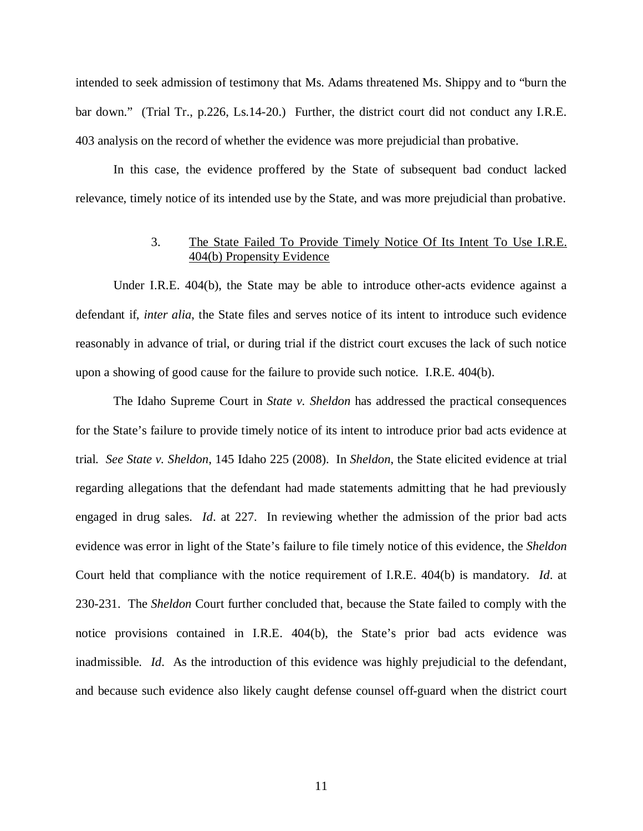intended to seek admission of testimony that Ms. Adams threatened Ms. Shippy and to "burn the bar down." (Trial Tr., p.226, Ls.14-20.) Further, the district court did not conduct any I.R.E. 403 analysis on the record of whether the evidence was more prejudicial than probative.

In this case, the evidence proffered by the State of subsequent bad conduct lacked relevance, timely notice of its intended use by the State, and was more prejudicial than probative.

## 3. The State Failed To Provide Timely Notice Of Its Intent To Use I.R.E. 404(b) Propensity Evidence

Under I.R.E. 404(b), the State may be able to introduce other-acts evidence against a defendant if, *inter alia*, the State files and serves notice of its intent to introduce such evidence reasonably in advance of trial, or during trial if the district court excuses the lack of such notice upon a showing of good cause for the failure to provide such notice. I.R.E. 404(b).

The Idaho Supreme Court in *State v. Sheldon* has addressed the practical consequences for the State's failure to provide timely notice of its intent to introduce prior bad acts evidence at trial. *See State v. Sheldon*, 145 Idaho 225 (2008). In *Sheldon*, the State elicited evidence at trial regarding allegations that the defendant had made statements admitting that he had previously engaged in drug sales. *Id*. at 227. In reviewing whether the admission of the prior bad acts evidence was error in light of the State's failure to file timely notice of this evidence, the *Sheldon* Court held that compliance with the notice requirement of I.R.E. 404(b) is mandatory. *Id*. at 230-231. The *Sheldon* Court further concluded that, because the State failed to comply with the notice provisions contained in I.R.E. 404(b), the State's prior bad acts evidence was inadmissible. *Id*. As the introduction of this evidence was highly prejudicial to the defendant, and because such evidence also likely caught defense counsel off-guard when the district court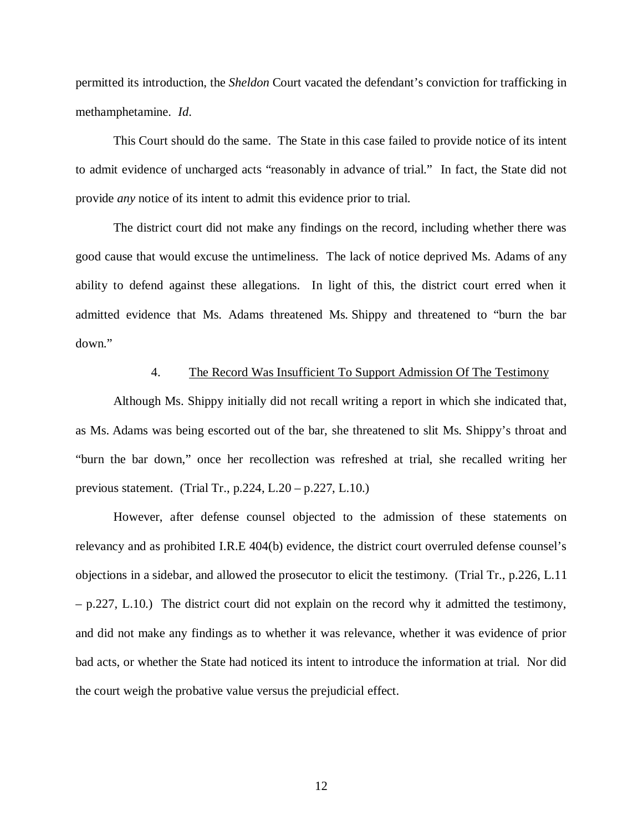permitted its introduction, the *Sheldon* Court vacated the defendant's conviction for trafficking in methamphetamine. *Id*.

This Court should do the same. The State in this case failed to provide notice of its intent to admit evidence of uncharged acts "reasonably in advance of trial." In fact, the State did not provide *any* notice of its intent to admit this evidence prior to trial.

The district court did not make any findings on the record, including whether there was good cause that would excuse the untimeliness. The lack of notice deprived Ms. Adams of any ability to defend against these allegations. In light of this, the district court erred when it admitted evidence that Ms. Adams threatened Ms. Shippy and threatened to "burn the bar down."

#### 4. The Record Was Insufficient To Support Admission Of The Testimony

Although Ms. Shippy initially did not recall writing a report in which she indicated that, as Ms. Adams was being escorted out of the bar, she threatened to slit Ms. Shippy's throat and "burn the bar down," once her recollection was refreshed at trial, she recalled writing her previous statement. (Trial Tr., p.224, L.20 – p.227, L.10.)

However, after defense counsel objected to the admission of these statements on relevancy and as prohibited I.R.E 404(b) evidence, the district court overruled defense counsel's objections in a sidebar, and allowed the prosecutor to elicit the testimony. (Trial Tr., p.226, L.11 – p.227, L.10.) The district court did not explain on the record why it admitted the testimony, and did not make any findings as to whether it was relevance, whether it was evidence of prior bad acts, or whether the State had noticed its intent to introduce the information at trial. Nor did the court weigh the probative value versus the prejudicial effect.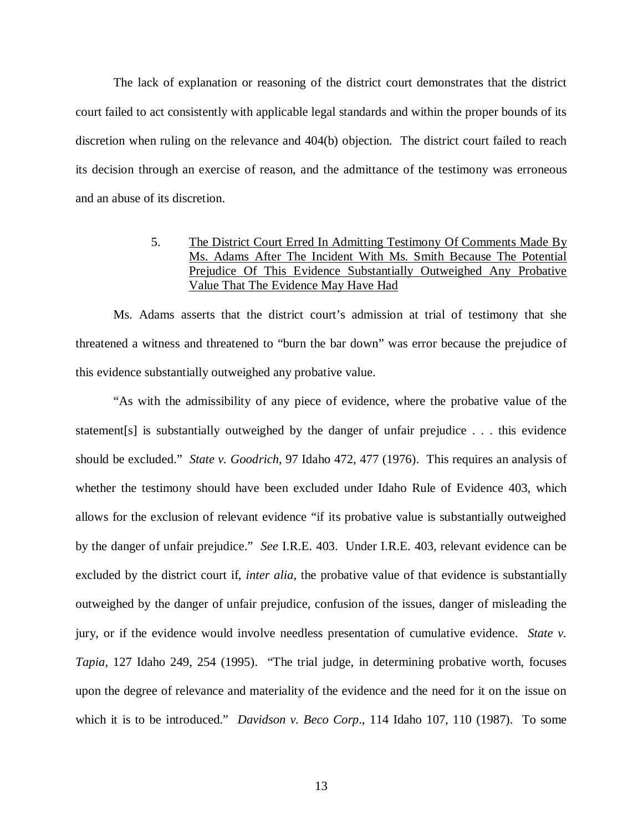The lack of explanation or reasoning of the district court demonstrates that the district court failed to act consistently with applicable legal standards and within the proper bounds of its discretion when ruling on the relevance and 404(b) objection. The district court failed to reach its decision through an exercise of reason, and the admittance of the testimony was erroneous and an abuse of its discretion.

## 5. The District Court Erred In Admitting Testimony Of Comments Made By Ms. Adams After The Incident With Ms. Smith Because The Potential Prejudice Of This Evidence Substantially Outweighed Any Probative Value That The Evidence May Have Had

Ms. Adams asserts that the district court's admission at trial of testimony that she threatened a witness and threatened to "burn the bar down" was error because the prejudice of this evidence substantially outweighed any probative value.

"As with the admissibility of any piece of evidence, where the probative value of the statement[s] is substantially outweighed by the danger of unfair prejudice . . . this evidence should be excluded." *State v. Goodrich*, 97 Idaho 472, 477 (1976). This requires an analysis of whether the testimony should have been excluded under Idaho Rule of Evidence 403, which allows for the exclusion of relevant evidence "if its probative value is substantially outweighed by the danger of unfair prejudice." *See* I.R.E. 403. Under I.R.E. 403, relevant evidence can be excluded by the district court if, *inter alia*, the probative value of that evidence is substantially outweighed by the danger of unfair prejudice, confusion of the issues, danger of misleading the jury, or if the evidence would involve needless presentation of cumulative evidence. *State v. Tapia*, 127 Idaho 249, 254 (1995). "The trial judge, in determining probative worth, focuses upon the degree of relevance and materiality of the evidence and the need for it on the issue on which it is to be introduced." *Davidson v. Beco Corp*., 114 Idaho 107, 110 (1987). To some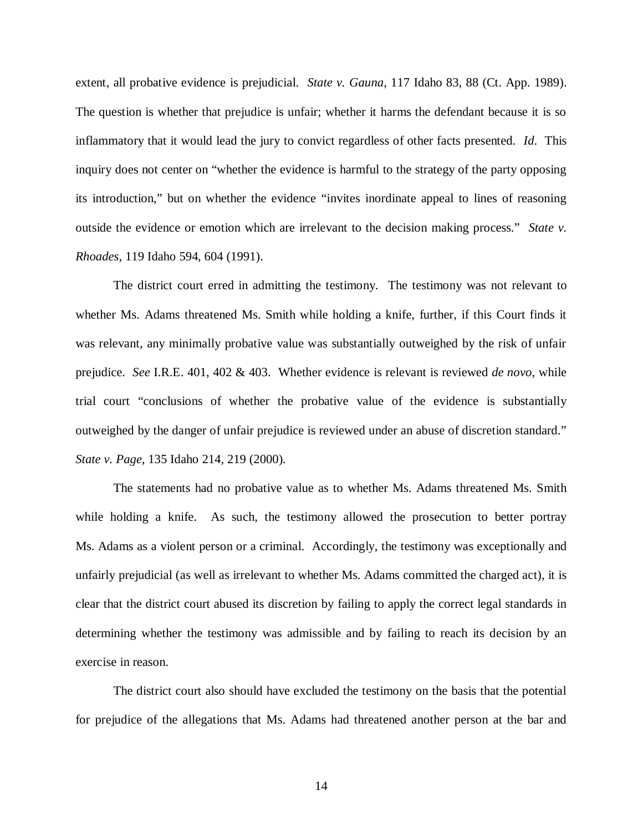extent, all probative evidence is prejudicial. *State v. Gauna*, 117 Idaho 83, 88 (Ct. App. 1989). The question is whether that prejudice is unfair; whether it harms the defendant because it is so inflammatory that it would lead the jury to convict regardless of other facts presented. *Id*. This inquiry does not center on "whether the evidence is harmful to the strategy of the party opposing its introduction," but on whether the evidence "invites inordinate appeal to lines of reasoning outside the evidence or emotion which are irrelevant to the decision making process." *State v. Rhoades*, 119 Idaho 594, 604 (1991).

The district court erred in admitting the testimony. The testimony was not relevant to whether Ms. Adams threatened Ms. Smith while holding a knife, further, if this Court finds it was relevant, any minimally probative value was substantially outweighed by the risk of unfair prejudice. *See* I.R.E. 401, 402 & 403. Whether evidence is relevant is reviewed *de novo*, while trial court "conclusions of whether the probative value of the evidence is substantially outweighed by the danger of unfair prejudice is reviewed under an abuse of discretion standard." *State v. Page*, 135 Idaho 214, 219 (2000).

The statements had no probative value as to whether Ms. Adams threatened Ms. Smith while holding a knife. As such, the testimony allowed the prosecution to better portray Ms. Adams as a violent person or a criminal. Accordingly, the testimony was exceptionally and unfairly prejudicial (as well as irrelevant to whether Ms. Adams committed the charged act), it is clear that the district court abused its discretion by failing to apply the correct legal standards in determining whether the testimony was admissible and by failing to reach its decision by an exercise in reason.

The district court also should have excluded the testimony on the basis that the potential for prejudice of the allegations that Ms. Adams had threatened another person at the bar and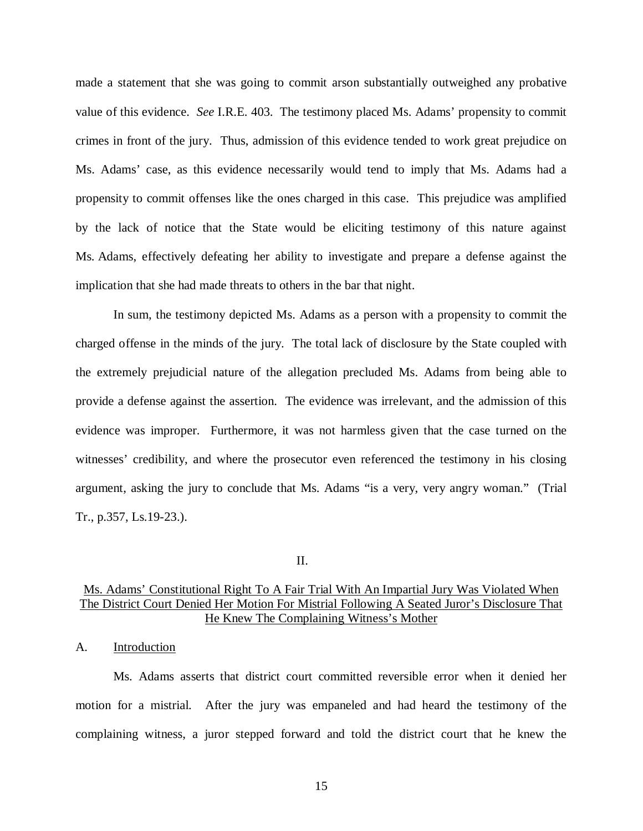made a statement that she was going to commit arson substantially outweighed any probative value of this evidence. *See* I.R.E. 403. The testimony placed Ms. Adams' propensity to commit crimes in front of the jury. Thus, admission of this evidence tended to work great prejudice on Ms. Adams' case, as this evidence necessarily would tend to imply that Ms. Adams had a propensity to commit offenses like the ones charged in this case. This prejudice was amplified by the lack of notice that the State would be eliciting testimony of this nature against Ms. Adams, effectively defeating her ability to investigate and prepare a defense against the implication that she had made threats to others in the bar that night.

In sum, the testimony depicted Ms. Adams as a person with a propensity to commit the charged offense in the minds of the jury. The total lack of disclosure by the State coupled with the extremely prejudicial nature of the allegation precluded Ms. Adams from being able to provide a defense against the assertion. The evidence was irrelevant, and the admission of this evidence was improper. Furthermore, it was not harmless given that the case turned on the witnesses' credibility, and where the prosecutor even referenced the testimony in his closing argument, asking the jury to conclude that Ms. Adams "is a very, very angry woman." (Trial Tr., p.357, Ls.19-23.).

II.

## Ms. Adams' Constitutional Right To A Fair Trial With An Impartial Jury Was Violated When The District Court Denied Her Motion For Mistrial Following A Seated Juror's Disclosure That He Knew The Complaining Witness's Mother

#### A. Introduction

Ms. Adams asserts that district court committed reversible error when it denied her motion for a mistrial. After the jury was empaneled and had heard the testimony of the complaining witness, a juror stepped forward and told the district court that he knew the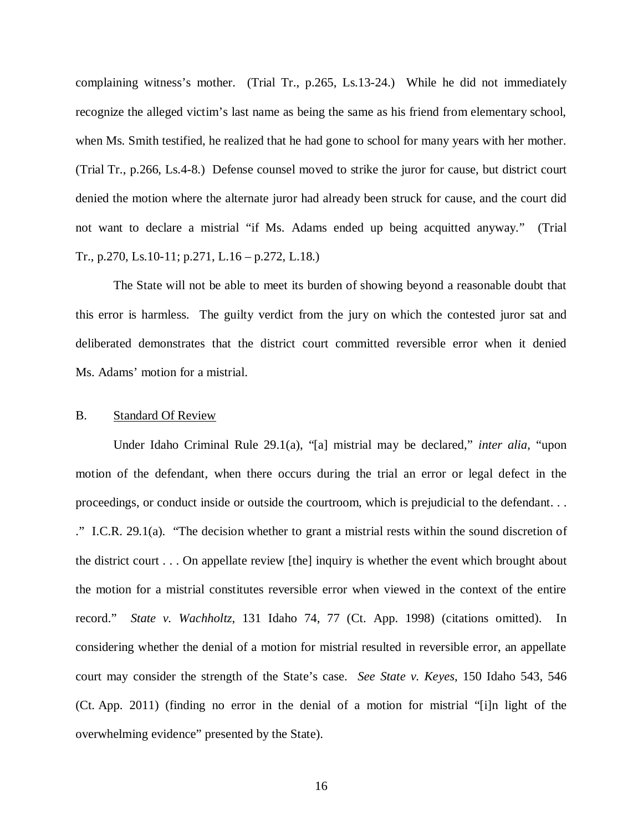complaining witness's mother. (Trial Tr., p.265, Ls.13-24.) While he did not immediately recognize the alleged victim's last name as being the same as his friend from elementary school, when Ms. Smith testified, he realized that he had gone to school for many years with her mother. (Trial Tr., p.266, Ls.4-8.) Defense counsel moved to strike the juror for cause, but district court denied the motion where the alternate juror had already been struck for cause, and the court did not want to declare a mistrial "if Ms. Adams ended up being acquitted anyway." (Trial Tr., p.270, Ls.10-11; p.271, L.16 – p.272, L.18.)

The State will not be able to meet its burden of showing beyond a reasonable doubt that this error is harmless. The guilty verdict from the jury on which the contested juror sat and deliberated demonstrates that the district court committed reversible error when it denied Ms. Adams' motion for a mistrial.

### B. Standard Of Review

Under Idaho Criminal Rule 29.1(a), "[a] mistrial may be declared," *inter alia*, "upon motion of the defendant, when there occurs during the trial an error or legal defect in the proceedings, or conduct inside or outside the courtroom, which is prejudicial to the defendant. . . ." I.C.R. 29.1(a). "The decision whether to grant a mistrial rests within the sound discretion of the district court . . . On appellate review [the] inquiry is whether the event which brought about the motion for a mistrial constitutes reversible error when viewed in the context of the entire record." *State v. Wachholtz*, 131 Idaho 74, 77 (Ct. App. 1998) (citations omitted). In considering whether the denial of a motion for mistrial resulted in reversible error, an appellate court may consider the strength of the State's case. *See State v. Keyes*, 150 Idaho 543, 546 (Ct. App. 2011) (finding no error in the denial of a motion for mistrial "[i]n light of the overwhelming evidence" presented by the State).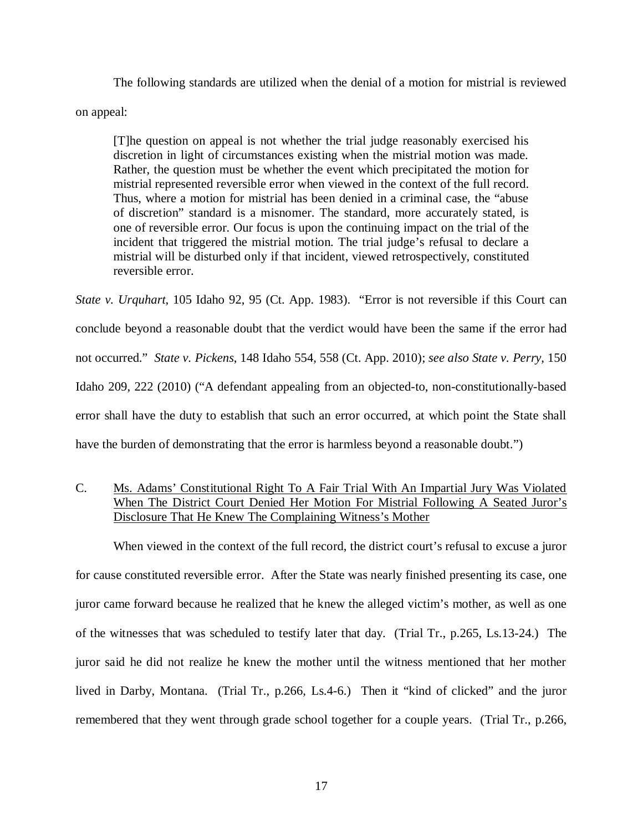The following standards are utilized when the denial of a motion for mistrial is reviewed on appeal:

[T]he question on appeal is not whether the trial judge reasonably exercised his discretion in light of circumstances existing when the mistrial motion was made. Rather, the question must be whether the event which precipitated the motion for mistrial represented reversible error when viewed in the context of the full record. Thus, where a motion for mistrial has been denied in a criminal case, the "abuse of discretion" standard is a misnomer. The standard, more accurately stated, is one of reversible error. Our focus is upon the continuing impact on the trial of the incident that triggered the mistrial motion. The trial judge's refusal to declare a mistrial will be disturbed only if that incident, viewed retrospectively, constituted reversible error.

*State v. Urquhart*, 105 Idaho 92, 95 (Ct. App. 1983). "Error is not reversible if this Court can conclude beyond a reasonable doubt that the verdict would have been the same if the error had not occurred." *State v. Pickens*, 148 Idaho 554, 558 (Ct. App. 2010); *see also State v. Perry*, 150 Idaho 209, 222 (2010) ("A defendant appealing from an objected-to, non-constitutionally-based error shall have the duty to establish that such an error occurred, at which point the State shall have the burden of demonstrating that the error is harmless beyond a reasonable doubt.")

## C. Ms. Adams' Constitutional Right To A Fair Trial With An Impartial Jury Was Violated When The District Court Denied Her Motion For Mistrial Following A Seated Juror's Disclosure That He Knew The Complaining Witness's Mother

When viewed in the context of the full record, the district court's refusal to excuse a juror for cause constituted reversible error. After the State was nearly finished presenting its case, one juror came forward because he realized that he knew the alleged victim's mother, as well as one of the witnesses that was scheduled to testify later that day. (Trial Tr., p.265, Ls.13-24.) The juror said he did not realize he knew the mother until the witness mentioned that her mother lived in Darby, Montana. (Trial Tr., p.266, Ls.4-6.) Then it "kind of clicked" and the juror remembered that they went through grade school together for a couple years. (Trial Tr., p.266,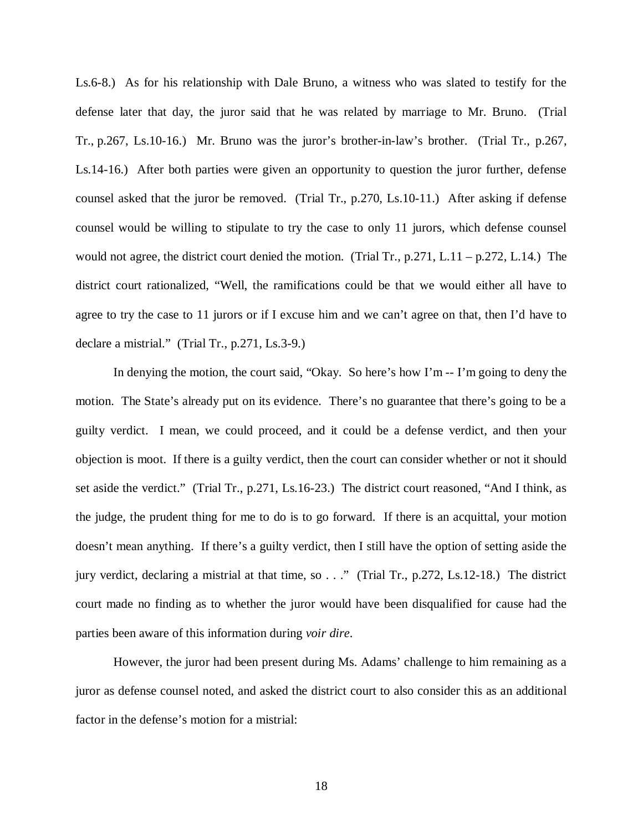Ls.6-8.) As for his relationship with Dale Bruno, a witness who was slated to testify for the defense later that day, the juror said that he was related by marriage to Mr. Bruno. (Trial Tr., p.267, Ls.10-16.) Mr. Bruno was the juror's brother-in-law's brother. (Trial Tr., p.267, Ls.14-16.) After both parties were given an opportunity to question the juror further, defense counsel asked that the juror be removed. (Trial Tr., p.270, Ls.10-11.) After asking if defense counsel would be willing to stipulate to try the case to only 11 jurors, which defense counsel would not agree, the district court denied the motion. (Trial Tr., p.271, L.11 – p.272, L.14.) The district court rationalized, "Well, the ramifications could be that we would either all have to agree to try the case to 11 jurors or if I excuse him and we can't agree on that, then I'd have to declare a mistrial." (Trial Tr., p.271, Ls.3-9.)

In denying the motion, the court said, "Okay. So here's how I'm -- I'm going to deny the motion. The State's already put on its evidence. There's no guarantee that there's going to be a guilty verdict. I mean, we could proceed, and it could be a defense verdict, and then your objection is moot. If there is a guilty verdict, then the court can consider whether or not it should set aside the verdict." (Trial Tr., p.271, Ls.16-23.) The district court reasoned, "And I think, as the judge, the prudent thing for me to do is to go forward. If there is an acquittal, your motion doesn't mean anything. If there's a guilty verdict, then I still have the option of setting aside the jury verdict, declaring a mistrial at that time, so . . ." (Trial Tr., p.272, Ls.12-18.) The district court made no finding as to whether the juror would have been disqualified for cause had the parties been aware of this information during *voir dire*.

However, the juror had been present during Ms. Adams' challenge to him remaining as a juror as defense counsel noted, and asked the district court to also consider this as an additional factor in the defense's motion for a mistrial: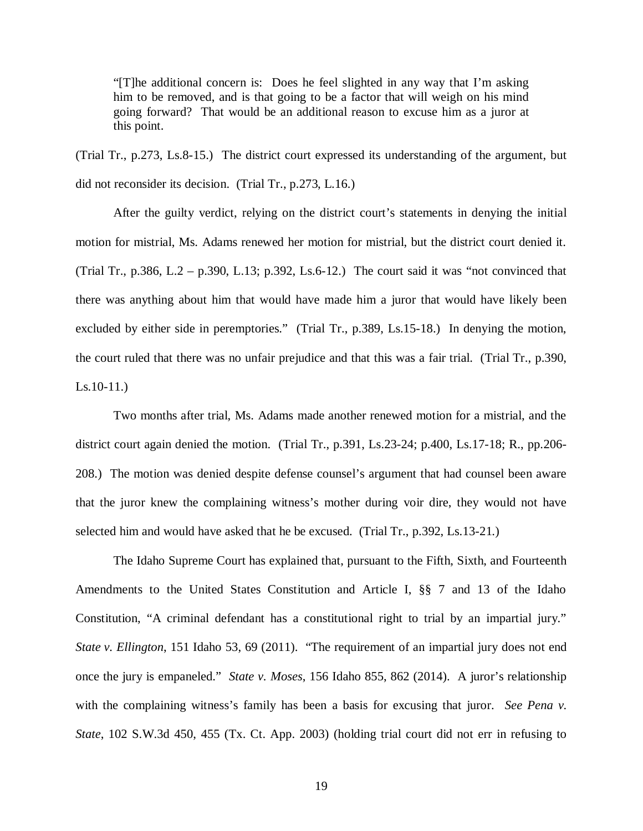"[T]he additional concern is: Does he feel slighted in any way that I'm asking him to be removed, and is that going to be a factor that will weigh on his mind going forward? That would be an additional reason to excuse him as a juror at this point.

(Trial Tr., p.273, Ls.8-15.) The district court expressed its understanding of the argument, but did not reconsider its decision. (Trial Tr., p.273, L.16.)

After the guilty verdict, relying on the district court's statements in denying the initial motion for mistrial, Ms. Adams renewed her motion for mistrial, but the district court denied it. (Trial Tr., p.386, L.2 – p.390, L.13; p.392, Ls.6-12.) The court said it was "not convinced that there was anything about him that would have made him a juror that would have likely been excluded by either side in peremptories." (Trial Tr., p.389, Ls.15-18.) In denying the motion, the court ruled that there was no unfair prejudice and that this was a fair trial. (Trial Tr., p.390, Ls.10-11.)

Two months after trial, Ms. Adams made another renewed motion for a mistrial, and the district court again denied the motion. (Trial Tr., p.391, Ls.23-24; p.400, Ls.17-18; R., pp.206- 208.) The motion was denied despite defense counsel's argument that had counsel been aware that the juror knew the complaining witness's mother during voir dire, they would not have selected him and would have asked that he be excused. (Trial Tr., p.392, Ls.13-21.)

The Idaho Supreme Court has explained that, pursuant to the Fifth, Sixth, and Fourteenth Amendments to the United States Constitution and Article I, §§ 7 and 13 of the Idaho Constitution, "A criminal defendant has a constitutional right to trial by an impartial jury." *State v. Ellington*, 151 Idaho 53, 69 (2011). "The requirement of an impartial jury does not end once the jury is empaneled." *State v. Moses*, 156 Idaho 855, 862 (2014). A juror's relationship with the complaining witness's family has been a basis for excusing that juror. *See Pena v. State*, 102 S.W.3d 450, 455 (Tx. Ct. App. 2003) (holding trial court did not err in refusing to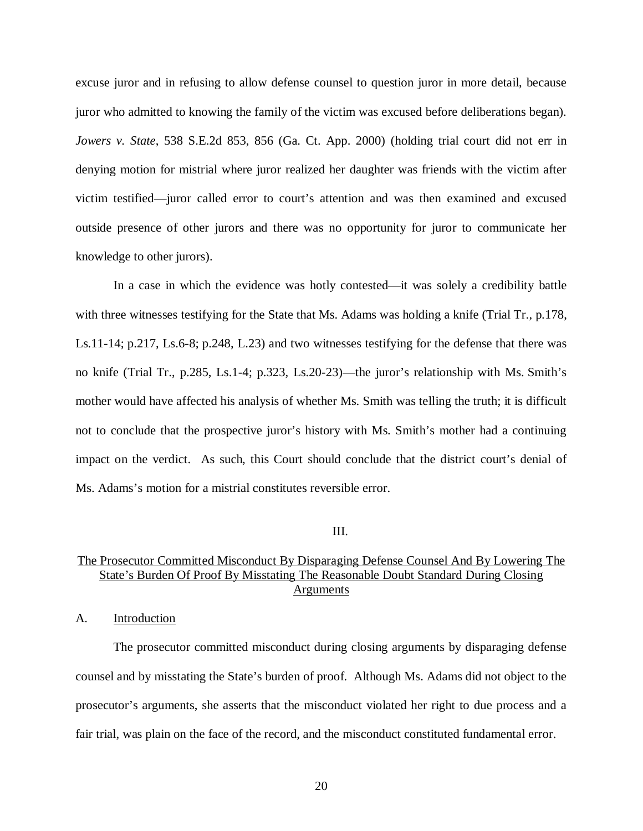excuse juror and in refusing to allow defense counsel to question juror in more detail, because juror who admitted to knowing the family of the victim was excused before deliberations began). *Jowers v. State*, 538 S.E.2d 853, 856 (Ga. Ct. App. 2000) (holding trial court did not err in denying motion for mistrial where juror realized her daughter was friends with the victim after victim testified—juror called error to court's attention and was then examined and excused outside presence of other jurors and there was no opportunity for juror to communicate her knowledge to other jurors).

In a case in which the evidence was hotly contested—it was solely a credibility battle with three witnesses testifying for the State that Ms. Adams was holding a knife (Trial Tr., p.178, Ls.11-14; p.217, Ls.6-8; p.248, L.23) and two witnesses testifying for the defense that there was no knife (Trial Tr., p.285, Ls.1-4; p.323, Ls.20-23)—the juror's relationship with Ms. Smith's mother would have affected his analysis of whether Ms. Smith was telling the truth; it is difficult not to conclude that the prospective juror's history with Ms. Smith's mother had a continuing impact on the verdict. As such, this Court should conclude that the district court's denial of Ms. Adams's motion for a mistrial constitutes reversible error.

### III.

## The Prosecutor Committed Misconduct By Disparaging Defense Counsel And By Lowering The State's Burden Of Proof By Misstating The Reasonable Doubt Standard During Closing **Arguments**

A. Introduction

The prosecutor committed misconduct during closing arguments by disparaging defense counsel and by misstating the State's burden of proof. Although Ms. Adams did not object to the prosecutor's arguments, she asserts that the misconduct violated her right to due process and a fair trial, was plain on the face of the record, and the misconduct constituted fundamental error.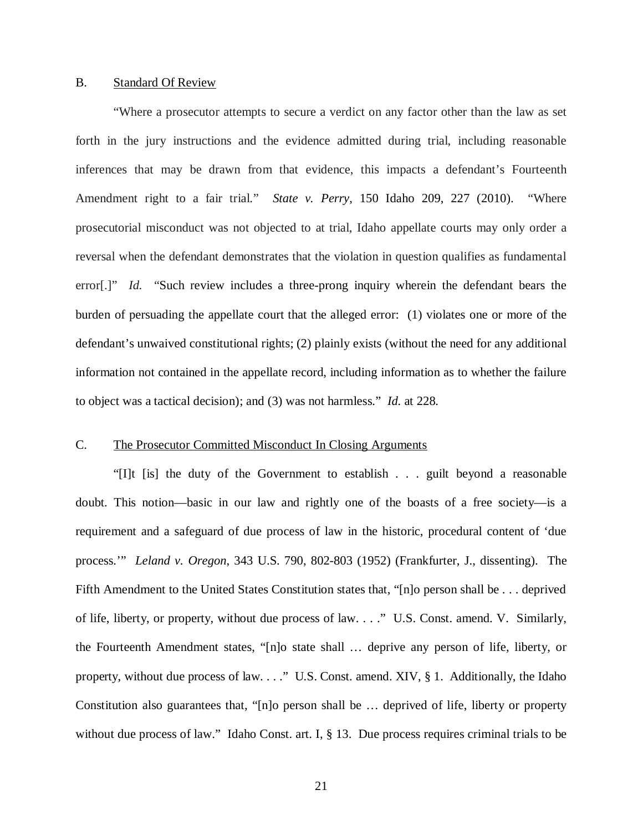#### B. Standard Of Review

"Where a prosecutor attempts to secure a verdict on any factor other than the law as set forth in the jury instructions and the evidence admitted during trial, including reasonable inferences that may be drawn from that evidence, this impacts a defendant's Fourteenth Amendment right to a fair trial." *State v. Perry*, 150 Idaho 209, 227 (2010). "Where prosecutorial misconduct was not objected to at trial, Idaho appellate courts may only order a reversal when the defendant demonstrates that the violation in question qualifies as fundamental error[.]" *[Id.](https://a.next.westlaw.com/Link/Document/FullText?findType=Y&serNum=2023954198&pubNum=0004645&originatingDoc=I63f648d2f82511e3a795ac035416da91&refType=RP&fi=co_pp_sp_4645_979&originationContext=document&transitionType=DocumentItem&contextData=(sc.Keycite)#co_pp_sp_4645_979)* "Such review includes a three-prong inquiry wherein the defendant bears the burden of persuading the appellate court that the alleged error: (1) violates one or more of the defendant's unwaived constitutional rights; (2) plainly exists (without the need for any additional information not contained in the appellate record, including information as to whether the failure to object was a tactical decision); and (3) was not harmless." *Id.* at 228.

#### C. The Prosecutor Committed Misconduct In Closing Arguments

"[I]t [is] the duty of the Government to establish . . . guilt beyond a reasonable doubt. This notion—basic in our law and rightly one of the boasts of a free society—is a requirement and a safeguard of due process of law in the historic, procedural content of 'due process.'" *Leland v. Oregon*, 343 U.S. 790, 802-803 (1952) (Frankfurter, J., dissenting). The Fifth Amendment to the United States Constitution states that, "[n]o person shall be . . . deprived of life, liberty, or property, without due process of law. . . ." U.S. Const. amend. V. Similarly, the Fourteenth Amendment states, "[n]o state shall … deprive any person of life, liberty, or property, without due process of law. . . ." U.S. Const. amend. XIV, § 1. Additionally, the Idaho Constitution also guarantees that, "[n]o person shall be … deprived of life, liberty or property without due process of law." Idaho Const. art. I, § 13. Due process requires criminal trials to be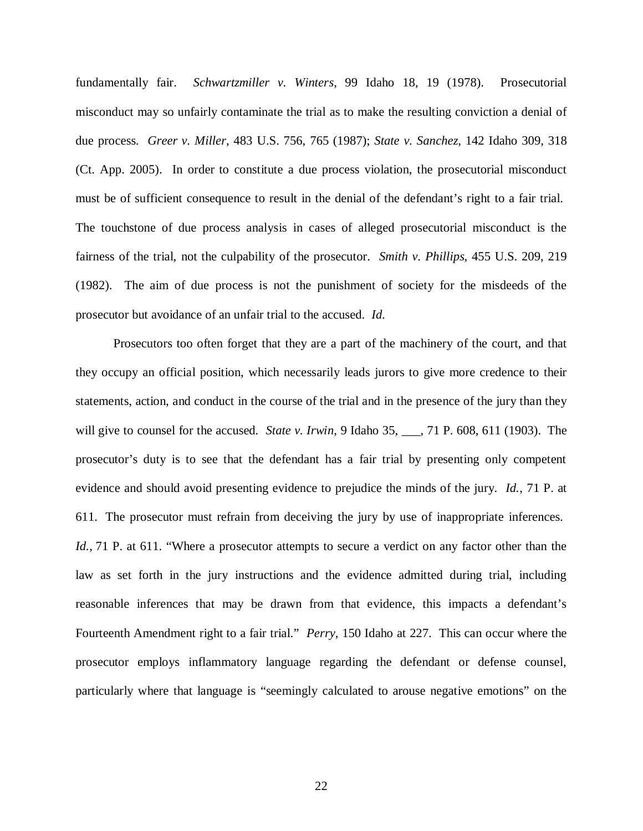fundamentally fair. *Schwartzmiller v. Winters*, 99 Idaho 18, 19 (1978). Prosecutorial misconduct may so unfairly contaminate the trial as to make the resulting conviction a denial of due process. *Greer v. Miller*, 483 U.S. 756, 765 (1987); *State v. Sanchez*, 142 Idaho 309, 318 (Ct. App. 2005). In order to constitute a due process violation, the prosecutorial misconduct must be of sufficient consequence to result in the denial of the defendant's right to a fair trial. The touchstone of due process analysis in cases of alleged prosecutorial misconduct is the fairness of the trial, not the culpability of the prosecutor. *Smith v. Phillips*, 455 U.S. 209, 219 (1982). The aim of due process is not the punishment of society for the misdeeds of the prosecutor but avoidance of an unfair trial to the accused. *Id*.

Prosecutors too often forget that they are a part of the machinery of the court, and that they occupy an official position, which necessarily leads jurors to give more credence to their statements, action, and conduct in the course of the trial and in the presence of the jury than they will give to counsel for the accused. *State v. Irwin*, 9 Idaho 35, 171 P. 608, 611 (1903). The prosecutor's duty is to see that the defendant has a fair trial by presenting only competent evidence and should avoid presenting evidence to prejudice the minds of the jury. *Id.*, 71 P. at 611. The prosecutor must refrain from deceiving the jury by use of inappropriate inferences. *Id.*, 71 P. at 611. "Where a prosecutor attempts to secure a verdict on any factor other than the law as set forth in the jury instructions and the evidence admitted during trial, including reasonable inferences that may be drawn from that evidence, this impacts a defendant's Fourteenth Amendment right to a fair trial." *Perry*, 150 Idaho at 227. This can occur where the prosecutor employs inflammatory language regarding the defendant or defense counsel, particularly where that language is "seemingly calculated to arouse negative emotions" on the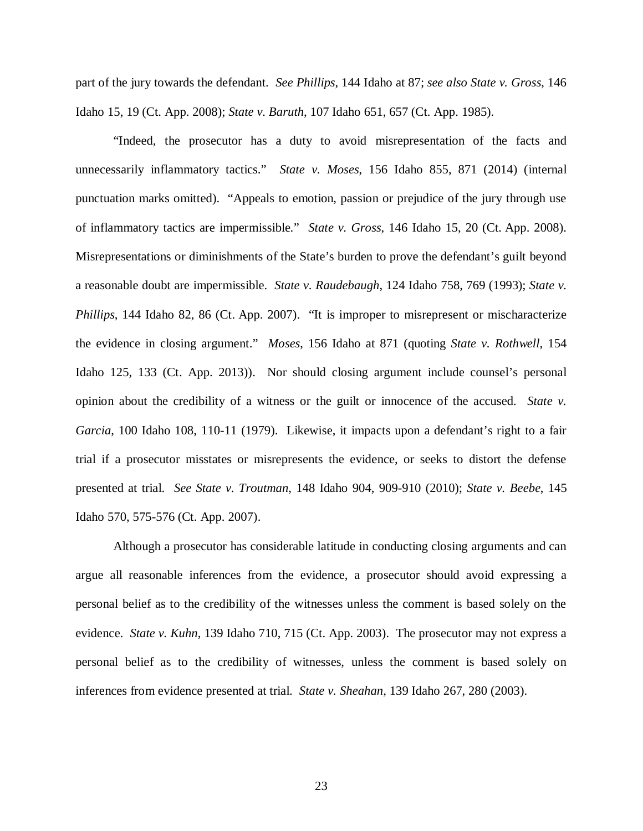part of the jury towards the defendant. *See Phillips*, 144 Idaho at 87; *see also State v. Gross*, 146 Idaho 15, 19 (Ct. App. 2008); *State v. Baruth*, 107 Idaho 651, 657 (Ct. App. 1985).

"Indeed, the prosecutor has a duty to avoid misrepresentation of the facts and unnecessarily inflammatory tactics." *State v. Moses*, 156 Idaho 855, 871 (2014) (internal punctuation marks omitted). "Appeals to emotion, passion or prejudice of the jury through use of inflammatory tactics are impermissible." *State v. Gross*, 146 Idaho 15, 20 (Ct. App. 2008). Misrepresentations or diminishments of the State's burden to prove the defendant's guilt beyond a reasonable doubt are impermissible. *State v. Raudebaugh*, 124 Idaho 758, 769 (1993); *State v. Phillips*, 144 Idaho 82, 86 (Ct. App. 2007). "It is improper to misrepresent or mischaracterize the evidence in closing argument." *Moses*, 156 Idaho at 871 (quoting *State v. Rothwell*, 154 Idaho 125, 133 (Ct. App. 2013)). Nor should closing argument include counsel's personal opinion about the credibility of a witness or the guilt or innocence of the accused. *State v. Garcia*, 100 Idaho 108, 110-11 (1979). Likewise, it impacts upon a defendant's right to a fair trial if a prosecutor misstates or misrepresents the evidence, or seeks to distort the defense presented at trial. *See State v. Troutman*, 148 Idaho 904, 909-910 (2010); *State v. Beebe*, 145 Idaho 570, 575-576 (Ct. App. 2007).

Although a prosecutor has considerable latitude in conducting closing arguments and can argue all reasonable inferences from the evidence, a prosecutor should avoid expressing a personal belief as to the credibility of the witnesses unless the comment is based solely on the evidence. *State v. Kuhn*, 139 Idaho 710, 715 (Ct. App. 2003). The prosecutor may not express a personal belief as to the credibility of witnesses, unless the comment is based solely on inferences from evidence presented at trial. *State v. Sheahan*, 139 Idaho 267, 280 (2003).

23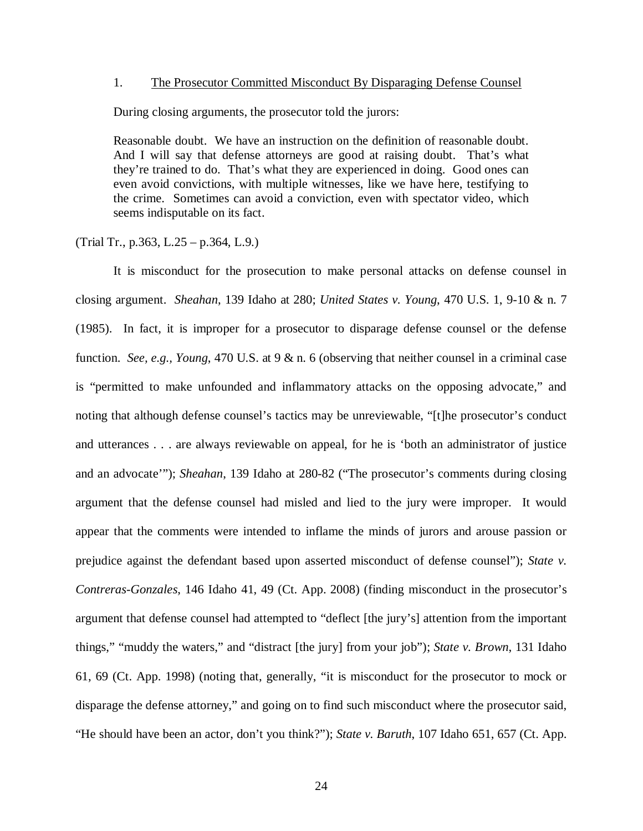#### 1. The Prosecutor Committed Misconduct By Disparaging Defense Counsel

During closing arguments, the prosecutor told the jurors:

Reasonable doubt. We have an instruction on the definition of reasonable doubt. And I will say that defense attorneys are good at raising doubt. That's what they're trained to do. That's what they are experienced in doing. Good ones can even avoid convictions, with multiple witnesses, like we have here, testifying to the crime. Sometimes can avoid a conviction, even with spectator video, which seems indisputable on its fact.

(Trial Tr., p.363, L.25 – p.364, L.9.)

It is misconduct for the prosecution to make personal attacks on defense counsel in closing argument. *Sheahan*, 139 Idaho at 280; *United States v. Young*, 470 U.S. 1, 9-10 & n. 7 (1985). In fact, it is improper for a prosecutor to disparage defense counsel or the defense function. *See, e.g., Young*, 470 U.S. at 9 & n. 6 (observing that neither counsel in a criminal case is "permitted to make unfounded and inflammatory attacks on the opposing advocate," and noting that although defense counsel's tactics may be unreviewable, "[t]he prosecutor's conduct and utterances . . . are always reviewable on appeal, for he is 'both an administrator of justice and an advocate'"); *Sheahan*, 139 Idaho at 280-82 ("The prosecutor's comments during closing argument that the defense counsel had misled and lied to the jury were improper. It would appear that the comments were intended to inflame the minds of jurors and arouse passion or prejudice against the defendant based upon asserted misconduct of defense counsel"); *State v. Contreras-Gonzales*, 146 Idaho 41, 49 (Ct. App. 2008) (finding misconduct in the prosecutor's argument that defense counsel had attempted to "deflect [the jury's] attention from the important things," "muddy the waters," and "distract [the jury] from your job"); *State v. Brown*, 131 Idaho 61, 69 (Ct. App. 1998) (noting that, generally, "it is misconduct for the prosecutor to mock or disparage the defense attorney," and going on to find such misconduct where the prosecutor said, "He should have been an actor, don't you think?"); *State v. Baruth*, 107 Idaho 651, 657 (Ct. App.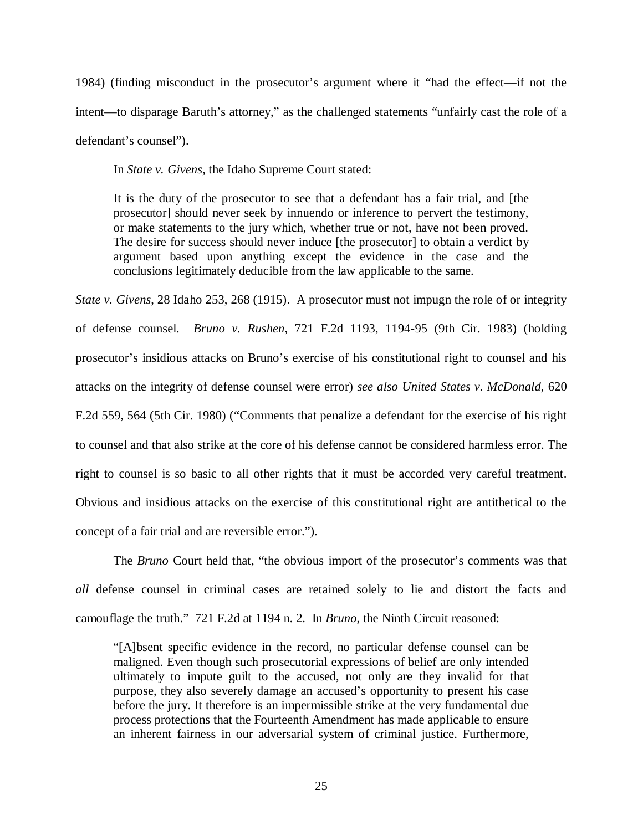1984) (finding misconduct in the prosecutor's argument where it "had the effect—if not the intent—to disparage Baruth's attorney," as the challenged statements "unfairly cast the role of a defendant's counsel").

In *State v. Givens,* the Idaho Supreme Court stated:

It is the duty of the prosecutor to see that a defendant has a fair trial, and [the prosecutor] should never seek by innuendo or inference to pervert the testimony, or make statements to the jury which, whether true or not, have not been proved. The desire for success should never induce [the prosecutor] to obtain a verdict by argument based upon anything except the evidence in the case and the conclusions legitimately deducible from the law applicable to the same.

*State v. Givens*, 28 Idaho 253, 268 (1915). A prosecutor must not impugn the role of or integrity of defense counsel. *Bruno v. Rushen*, 721 F.2d 1193, 1194-95 (9th Cir. 1983) (holding prosecutor's insidious attacks on Bruno's exercise of his constitutional right to counsel and his attacks on the integrity of defense counsel were error) *see also United States v. McDonald*, 620 F.2d 559, 564 (5th Cir. 1980) ("Comments that penalize a defendant for the exercise of his right to counsel and that also strike at the core of his defense cannot be considered harmless error. The right to counsel is so basic to all other rights that it must be accorded very careful treatment. Obvious and insidious attacks on the exercise of this constitutional right are antithetical to the concept of a fair trial and are reversible error.").

The *Bruno* Court held that, "the obvious import of the prosecutor's comments was that *all* defense counsel in criminal cases are retained solely to lie and distort the facts and camouflage the truth." 721 F.2d at 1194 n. 2. In *Bruno*, the Ninth Circuit reasoned:

"[A]bsent specific evidence in the record, no particular defense counsel can be maligned. Even though such prosecutorial expressions of belief are only intended ultimately to impute guilt to the accused, not only are they invalid for that purpose, they also severely damage an accused's opportunity to present his case before the jury. It therefore is an impermissible strike at the very fundamental due process protections that the Fourteenth Amendment has made applicable to ensure an inherent fairness in our adversarial system of criminal justice. Furthermore,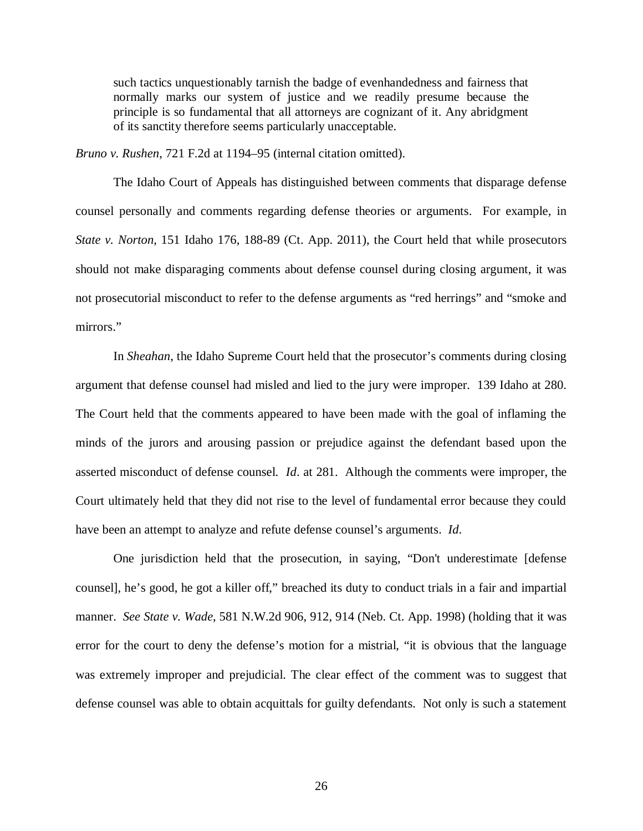such tactics unquestionably tarnish the badge of evenhandedness and fairness that normally marks our system of justice and we readily presume because the principle is so fundamental that all attorneys are cognizant of it. Any abridgment of its sanctity therefore seems particularly unacceptable.

*Bruno v. Rushen*, 721 F.2d at 1194–95 (internal citation omitted).

The Idaho Court of Appeals has distinguished between comments that disparage defense counsel personally and comments regarding defense theories or arguments. For example, in *State v. Norton*, 151 Idaho 176, 188-89 (Ct. App. 2011), the Court held that while prosecutors should not make disparaging comments about defense counsel during closing argument, it was not prosecutorial misconduct to refer to the defense arguments as "red herrings" and "smoke and mirrors."

In *Sheahan*, the Idaho Supreme Court held that the prosecutor's comments during closing argument that defense counsel had misled and lied to the jury were improper. 139 Idaho at 280. The Court held that the comments appeared to have been made with the goal of inflaming the minds of the jurors and arousing passion or prejudice against the defendant based upon the asserted misconduct of defense counsel. *Id*. at 281. Although the comments were improper, the Court ultimately held that they did not rise to the level of fundamental error because they could have been an attempt to analyze and refute defense counsel's arguments. *Id*.

One jurisdiction held that the prosecution, in saying, "Don't underestimate [defense counsel], he's good, he got a killer off," breached its duty to conduct trials in a fair and impartial manner. *See State v. Wade*, 581 N.W.2d 906, 912, 914 (Neb. Ct. App. 1998) (holding that it was error for the court to deny the defense's motion for a mistrial, "it is obvious that the language was extremely improper and prejudicial. The clear effect of the comment was to suggest that defense counsel was able to obtain acquittals for guilty defendants. Not only is such a statement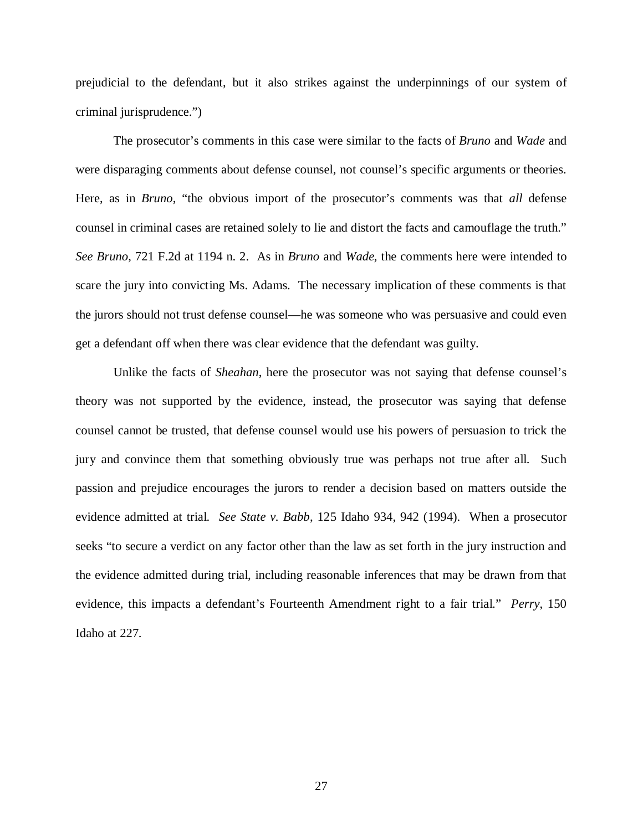prejudicial to the defendant, but it also strikes against the underpinnings of our system of criminal jurisprudence.")

The prosecutor's comments in this case were similar to the facts of *Bruno* and *Wade* and were disparaging comments about defense counsel, not counsel's specific arguments or theories. Here, as in *Bruno*, "the obvious import of the prosecutor's comments was that *all* defense counsel in criminal cases are retained solely to lie and distort the facts and camouflage the truth." *See Bruno*, 721 F.2d at 1194 n. 2. As in *Bruno* and *Wade*, the comments here were intended to scare the jury into convicting Ms. Adams. The necessary implication of these comments is that the jurors should not trust defense counsel—he was someone who was persuasive and could even get a defendant off when there was clear evidence that the defendant was guilty.

Unlike the facts of *Sheahan*, here the prosecutor was not saying that defense counsel's theory was not supported by the evidence, instead, the prosecutor was saying that defense counsel cannot be trusted, that defense counsel would use his powers of persuasion to trick the jury and convince them that something obviously true was perhaps not true after all. Such passion and prejudice encourages the jurors to render a decision based on matters outside the evidence admitted at trial. *See State v. Babb*, 125 Idaho 934, 942 (1994). When a prosecutor seeks "to secure a verdict on any factor other than the law as set forth in the jury instruction and the evidence admitted during trial, including reasonable inferences that may be drawn from that evidence, this impacts a defendant's Fourteenth Amendment right to a fair trial." *Perry*, 150 Idaho at 227.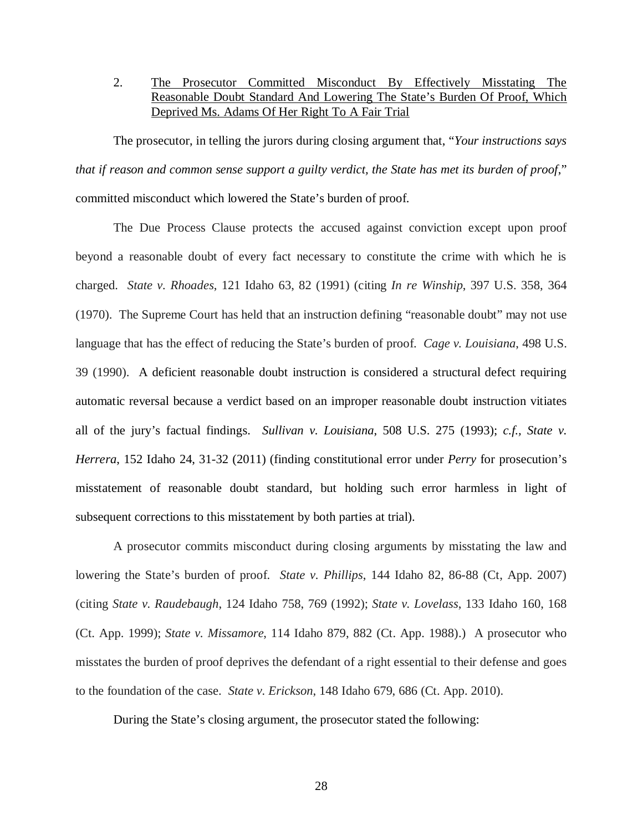## 2. The Prosecutor Committed Misconduct By Effectively Misstating The Reasonable Doubt Standard And Lowering The State's Burden Of Proof, Which Deprived Ms. Adams Of Her Right To A Fair Trial

The prosecutor, in telling the jurors during closing argument that, "*Your instructions says that if reason and common sense support a guilty verdict, the State has met its burden of proof*," committed misconduct which lowered the State's burden of proof.

The Due Process Clause protects the accused against conviction except upon proof beyond a reasonable doubt of every fact necessary to constitute the crime with which he is charged. *State v. Rhoades*, 121 Idaho 63, 82 (1991) (citing *In re Winship*, 397 U.S. 358, 364 (1970). The Supreme Court has held that an instruction defining "reasonable doubt" may not use language that has the effect of reducing the State's burden of proof. *Cage v. Louisiana*, 498 U.S. 39 (1990). A deficient reasonable doubt instruction is considered a structural defect requiring automatic reversal because a verdict based on an improper reasonable doubt instruction vitiates all of the jury's factual findings. *Sullivan v. Louisiana*, 508 U.S. 275 (1993); *c.f., State v. Herrera*, 152 Idaho 24, 31-32 (2011) (finding constitutional error under *Perry* for prosecution's misstatement of reasonable doubt standard, but holding such error harmless in light of subsequent corrections to this misstatement by both parties at trial).

A prosecutor commits misconduct during closing arguments by misstating the law and lowering the State's burden of proof. *State v. Phillips*, 144 Idaho 82, 86-88 (Ct, App. 2007) (citing *State v. Raudebaugh*, 124 Idaho 758, 769 (1992); *State v. Lovelass*, 133 Idaho 160, 168 (Ct. App. 1999); *State v. Missamore*, 114 Idaho 879, 882 (Ct. App. 1988).) A prosecutor who misstates the burden of proof deprives the defendant of a right essential to their defense and goes to the foundation of the case. *State v. Erickson*, 148 Idaho 679, 686 (Ct. App. 2010).

During the State's closing argument, the prosecutor stated the following: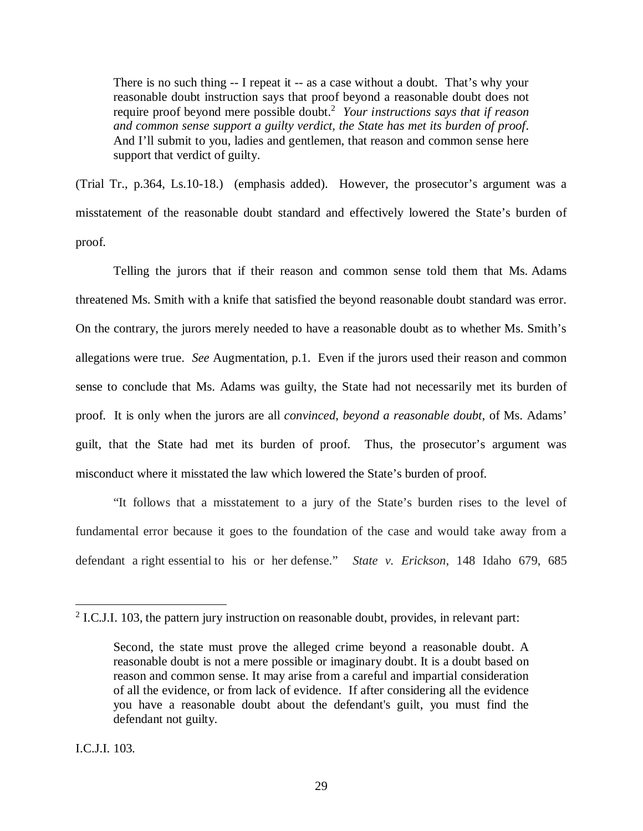There is no such thing -- I repeat it -- as a case without a doubt. That's why your reasonable doubt instruction says that proof beyond a reasonable doubt does not require proof beyond mere possible doubt.[2](#page-43-0) *Your instructions says that if reason and common sense support a guilty verdict, the State has met its burden of proof*. And I'll submit to you, ladies and gentlemen, that reason and common sense here support that verdict of guilty.

(Trial Tr., p.364, Ls.10-18.) (emphasis added). However, the prosecutor's argument was a misstatement of the reasonable doubt standard and effectively lowered the State's burden of proof.

Telling the jurors that if their reason and common sense told them that Ms. Adams threatened Ms. Smith with a knife that satisfied the beyond reasonable doubt standard was error. On the contrary, the jurors merely needed to have a reasonable doubt as to whether Ms. Smith's allegations were true. *See* Augmentation, p.1. Even if the jurors used their reason and common sense to conclude that Ms. Adams was guilty, the State had not necessarily met its burden of proof. It is only when the jurors are all *convinced*, *beyond a reasonable doubt*, of Ms. Adams' guilt, that the State had met its burden of proof. Thus, the prosecutor's argument was misconduct where it misstated the law which lowered the State's burden of proof.

"It follows that a misstatement to a jury of the State's burden rises to the level of fundamental error because it goes to the foundation of the case and would take away from a defendant a right essential to his or her defense." *State v. Erickson*, 148 Idaho 679, 685

 $2$  I.C.J.I. 103, the pattern jury instruction on reasonable doubt, provides, in relevant part:

Second, the state must prove the alleged crime beyond a reasonable doubt. A reasonable doubt is not a mere possible or imaginary doubt. It is a doubt based on reason and common sense. It may arise from a careful and impartial consideration of all the evidence, or from lack of evidence. If after considering all the evidence you have a reasonable doubt about the defendant's guilt, you must find the defendant not guilty.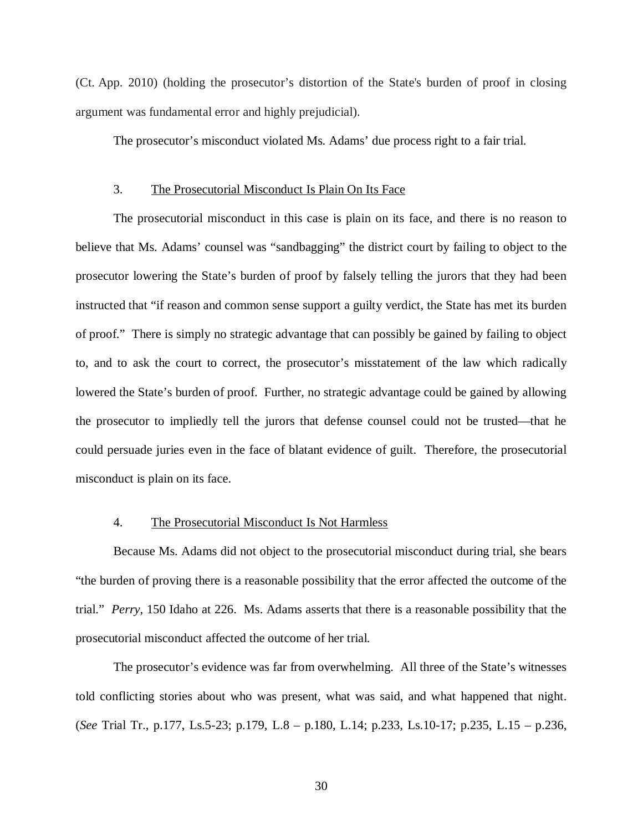(Ct. App. 2010) (holding the prosecutor's distortion of the State's burden of proof in closing argument was fundamental error and highly prejudicial).

The prosecutor's misconduct violated Ms. Adams' due process right to a fair trial.

#### 3. The Prosecutorial Misconduct Is Plain On Its Face

The prosecutorial misconduct in this case is plain on its face, and there is no reason to believe that Ms. Adams' counsel was "sandbagging" the district court by failing to object to the prosecutor lowering the State's burden of proof by falsely telling the jurors that they had been instructed that "if reason and common sense support a guilty verdict, the State has met its burden of proof." There is simply no strategic advantage that can possibly be gained by failing to object to, and to ask the court to correct, the prosecutor's misstatement of the law which radically lowered the State's burden of proof. Further, no strategic advantage could be gained by allowing the prosecutor to impliedly tell the jurors that defense counsel could not be trusted—that he could persuade juries even in the face of blatant evidence of guilt. Therefore, the prosecutorial misconduct is plain on its face.

#### 4. The Prosecutorial Misconduct Is Not Harmless

Because Ms. Adams did not object to the prosecutorial misconduct during trial, she bears "the burden of proving there is a reasonable possibility that the error affected the outcome of the trial." *Perry*, 150 Idaho at 226. Ms. Adams asserts that there is a reasonable possibility that the prosecutorial misconduct affected the outcome of her trial.

The prosecutor's evidence was far from overwhelming. All three of the State's witnesses told conflicting stories about who was present, what was said, and what happened that night. (*See* Trial Tr., p.177, Ls.5-23; p.179, L.8 – p.180, L.14; p.233, Ls.10-17; p.235, L.15 – p.236,

30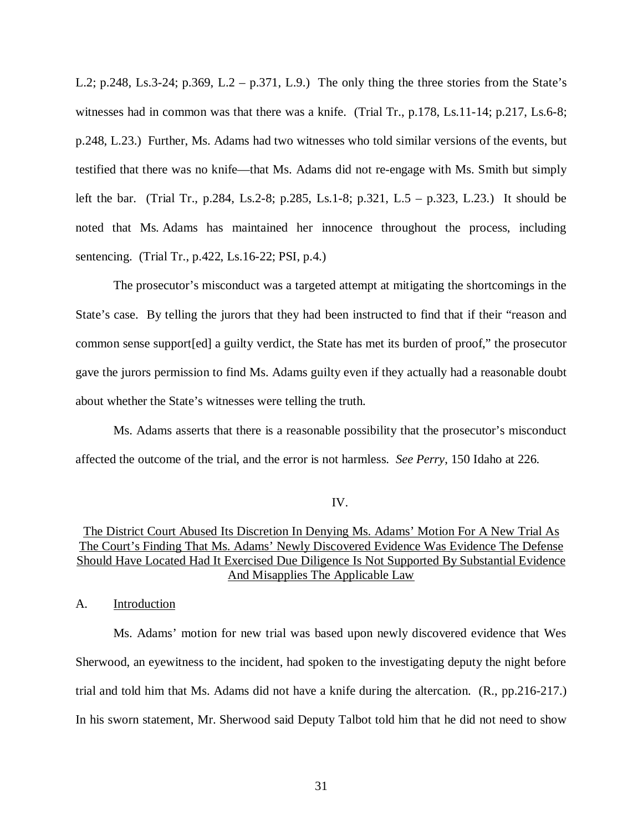L.2; p.248, Ls.3-24; p.369, L.2 – p.371, L.9.) The only thing the three stories from the State's witnesses had in common was that there was a knife. (Trial Tr., p.178, Ls.11-14; p.217, Ls.6-8; p.248, L.23.) Further, Ms. Adams had two witnesses who told similar versions of the events, but testified that there was no knife—that Ms. Adams did not re-engage with Ms. Smith but simply left the bar. (Trial Tr., p.284, Ls.2-8; p.285, Ls.1-8; p.321, L.5 – p.323, L.23.) It should be noted that Ms. Adams has maintained her innocence throughout the process, including sentencing. (Trial Tr., p.422, Ls.16-22; PSI, p.4.)

The prosecutor's misconduct was a targeted attempt at mitigating the shortcomings in the State's case. By telling the jurors that they had been instructed to find that if their "reason and common sense support[ed] a guilty verdict, the State has met its burden of proof," the prosecutor gave the jurors permission to find Ms. Adams guilty even if they actually had a reasonable doubt about whether the State's witnesses were telling the truth.

Ms. Adams asserts that there is a reasonable possibility that the prosecutor's misconduct affected the outcome of the trial, and the error is not harmless. *See Perry*, 150 Idaho at 226.

#### IV.

## The District Court Abused Its Discretion In Denying Ms. Adams' Motion For A New Trial As The Court's Finding That Ms. Adams' Newly Discovered Evidence Was Evidence The Defense Should Have Located Had It Exercised Due Diligence Is Not Supported By Substantial Evidence And Misapplies The Applicable Law

A. Introduction

Ms. Adams' motion for new trial was based upon newly discovered evidence that Wes Sherwood, an eyewitness to the incident, had spoken to the investigating deputy the night before trial and told him that Ms. Adams did not have a knife during the altercation. (R., pp.216-217.) In his sworn statement, Mr. Sherwood said Deputy Talbot told him that he did not need to show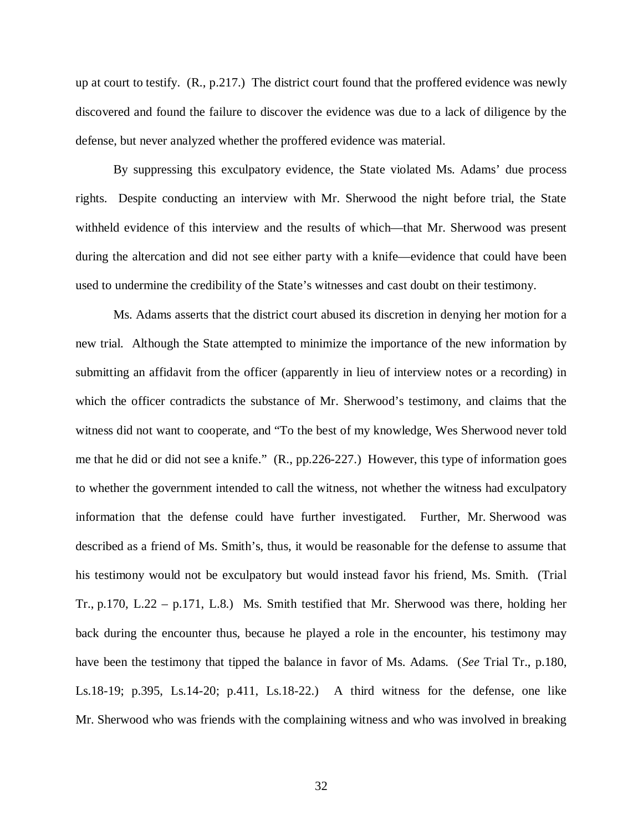up at court to testify. (R., p.217.) The district court found that the proffered evidence was newly discovered and found the failure to discover the evidence was due to a lack of diligence by the defense, but never analyzed whether the proffered evidence was material.

By suppressing this exculpatory evidence, the State violated Ms. Adams' due process rights. Despite conducting an interview with Mr. Sherwood the night before trial, the State withheld evidence of this interview and the results of which—that Mr. Sherwood was present during the altercation and did not see either party with a knife—evidence that could have been used to undermine the credibility of the State's witnesses and cast doubt on their testimony.

Ms. Adams asserts that the district court abused its discretion in denying her motion for a new trial. Although the State attempted to minimize the importance of the new information by submitting an affidavit from the officer (apparently in lieu of interview notes or a recording) in which the officer contradicts the substance of Mr. Sherwood's testimony, and claims that the witness did not want to cooperate, and "To the best of my knowledge, Wes Sherwood never told me that he did or did not see a knife." (R., pp.226-227.) However, this type of information goes to whether the government intended to call the witness, not whether the witness had exculpatory information that the defense could have further investigated. Further, Mr. Sherwood was described as a friend of Ms. Smith's, thus, it would be reasonable for the defense to assume that his testimony would not be exculpatory but would instead favor his friend, Ms. Smith. (Trial Tr., p.170, L.22 – p.171, L.8.) Ms. Smith testified that Mr. Sherwood was there, holding her back during the encounter thus, because he played a role in the encounter, his testimony may have been the testimony that tipped the balance in favor of Ms. Adams. (*See* Trial Tr., p.180, Ls.18-19; p.395, Ls.14-20; p.411, Ls.18-22.) A third witness for the defense, one like Mr. Sherwood who was friends with the complaining witness and who was involved in breaking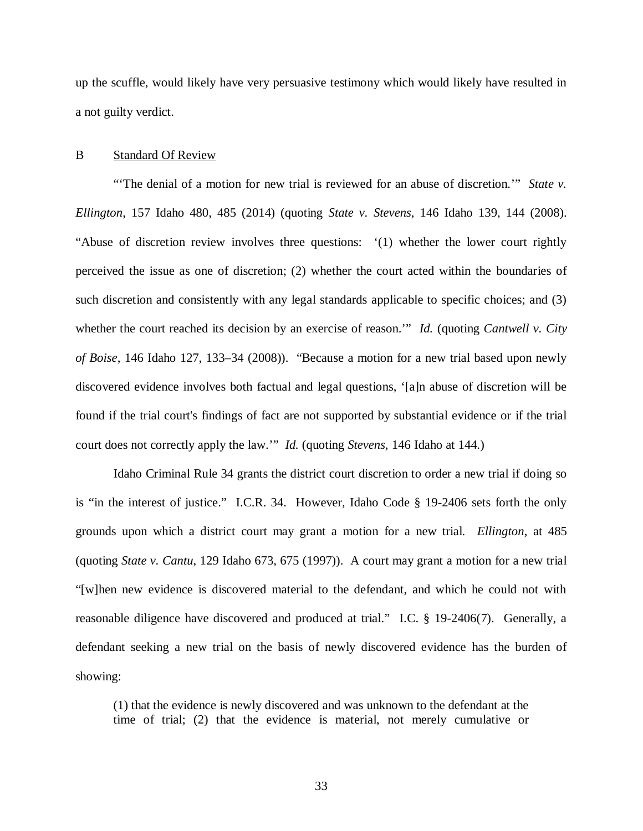up the scuffle, would likely have very persuasive testimony which would likely have resulted in a not guilty verdict.

#### B Standard Of Review

"'The denial of a motion for new trial is reviewed for an abuse of discretion.'" *State v. Ellington*, 157 Idaho 480, 485 (2014) (quoting *State v. Stevens*, 146 Idaho 139, 144 (2008). "Abuse of discretion review involves three questions: '(1) whether the lower court rightly perceived the issue as one of discretion; (2) whether the court acted within the boundaries of such discretion and consistently with any legal standards applicable to specific choices; and (3) whether the court reached its decision by an exercise of reason.'" *Id.* (quoting *Cantwell v. City of Boise*, 146 Idaho 127, 133–34 (2008)). "Because a motion for a new trial based upon newly discovered evidence involves both factual and legal questions, '[a]n abuse of discretion will be found if the trial court's findings of fact are not supported by substantial evidence or if the trial court does not correctly apply the law.'" *Id.* (quoting *Stevens*, 146 Idaho at 144.)

Idaho Criminal Rule 34 grants the district court discretion to order a new trial if doing so is "in the interest of justice." I.C.R. 34. However, Idaho Code § 19-2406 sets forth the only grounds upon which a district court may grant a motion for a new trial. *Ellington*, at 485 (quoting *State v. Cantu*, 129 Idaho 673, 675 (1997)). A court may grant a motion for a new trial "[w]hen new evidence is discovered material to the defendant, and which he could not with reasonable diligence have discovered and produced at trial." I.C. § 19-2406(7). Generally, a defendant seeking a new trial on the basis of newly discovered evidence has the burden of showing:

(1) that the evidence is newly discovered and was unknown to the defendant at the time of trial; (2) that the evidence is material, not merely cumulative or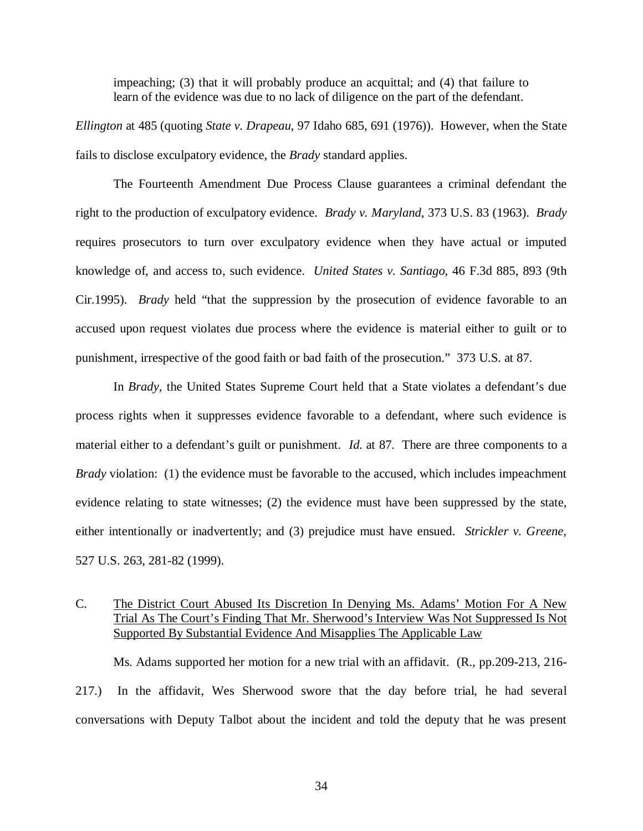impeaching; (3) that it will probably produce an acquittal; and (4) that failure to learn of the evidence was due to no lack of diligence on the part of the defendant.

*Ellington* at 485 (quoting *State v. Drapeau*, 97 Idaho 685, 691 (1976)). However, when the State fails to disclose exculpatory evidence, the *Brady* standard applies.

The Fourteenth Amendment Due Process Clause guarantees a criminal defendant the right to the production of exculpatory evidence. *Brady v. Maryland*, 373 U.S. 83 (1963). *Brady* requires prosecutors to turn over exculpatory evidence when they have actual or imputed knowledge of, and access to, such evidence. *United States v. Santiago*, 46 F.3d 885, 893 (9th Cir.1995). *Brady* held "that the suppression by the prosecution of evidence favorable to an accused upon request violates due process where the evidence is material either to guilt or to punishment, irrespective of the good faith or bad faith of the prosecution." 373 U.S. at 87.

In *Brady*, the United States Supreme Court held that a State violates a defendant's due process rights when it suppresses evidence favorable to a defendant, where such evidence is material either to a defendant's guilt or punishment. *Id*. at 87. There are three components to a *Brady* violation: (1) the evidence must be favorable to the accused, which includes impeachment evidence relating to state witnesses; (2) the evidence must have been suppressed by the state, either intentionally or inadvertently; and (3) prejudice must have ensued. *Strickler v. Greene*, 527 U.S. 263, 281-82 (1999).

## <span id="page-43-0"></span>C. The District Court Abused Its Discretion In Denying Ms. Adams' Motion For A New Trial As The Court's Finding That Mr. Sherwood's Interview Was Not Suppressed Is Not Supported By Substantial Evidence And Misapplies The Applicable Law

Ms. Adams supported her motion for a new trial with an affidavit. (R., pp.209-213, 216- 217.) In the affidavit, Wes Sherwood swore that the day before trial, he had several conversations with Deputy Talbot about the incident and told the deputy that he was present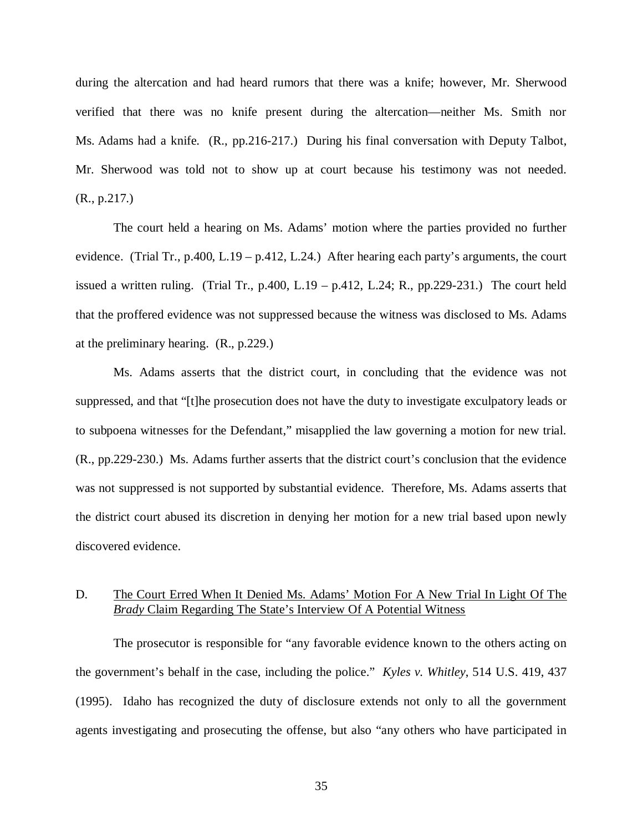during the altercation and had heard rumors that there was a knife; however, Mr. Sherwood verified that there was no knife present during the altercation—neither Ms. Smith nor Ms. Adams had a knife. (R., pp.216-217.) During his final conversation with Deputy Talbot, Mr. Sherwood was told not to show up at court because his testimony was not needed. (R., p.217.)

The court held a hearing on Ms. Adams' motion where the parties provided no further evidence. (Trial Tr., p.400, L.19 – p.412, L.24.) After hearing each party's arguments, the court issued a written ruling. (Trial Tr., p.400, L.19 – p.412, L.24; R., pp.229-231.) The court held that the proffered evidence was not suppressed because the witness was disclosed to Ms. Adams at the preliminary hearing. (R., p.229.)

Ms. Adams asserts that the district court, in concluding that the evidence was not suppressed, and that "[t]he prosecution does not have the duty to investigate exculpatory leads or to subpoena witnesses for the Defendant," misapplied the law governing a motion for new trial. (R., pp.229-230.) Ms. Adams further asserts that the district court's conclusion that the evidence was not suppressed is not supported by substantial evidence. Therefore, Ms. Adams asserts that the district court abused its discretion in denying her motion for a new trial based upon newly discovered evidence.

## D. The Court Erred When It Denied Ms. Adams' Motion For A New Trial In Light Of The *Brady* Claim Regarding The State's Interview Of A Potential Witness

The prosecutor is responsible for "any favorable evidence known to the others acting on the government's behalf in the case, including the police." *Kyles v. Whitley*, 514 U.S. 419, 437 (1995). Idaho has recognized the duty of disclosure extends not only to all the government agents investigating and prosecuting the offense, but also "any others who have participated in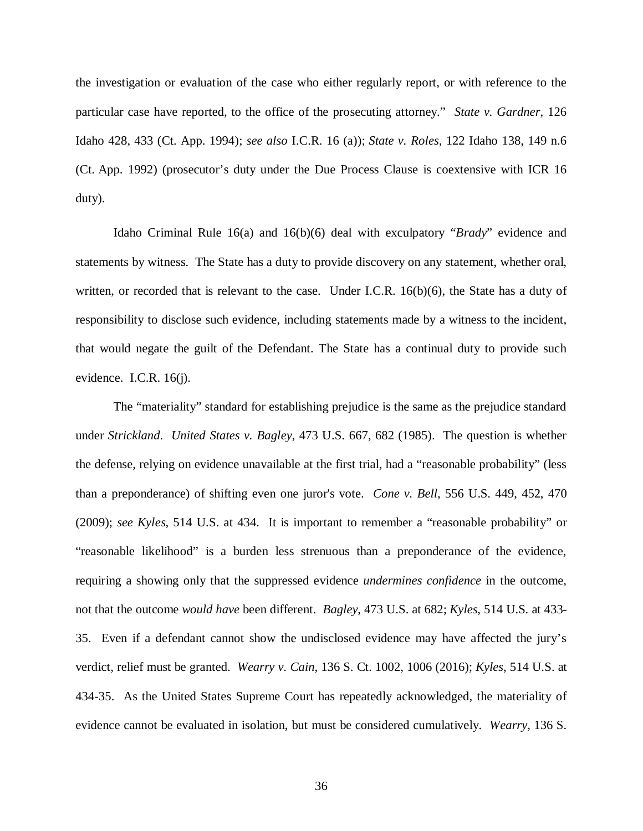the investigation or evaluation of the case who either regularly report, or with reference to the particular case have reported, to the office of the prosecuting attorney." *State v. Gardner*, 126 Idaho 428, 433 (Ct. App. 1994); *see also* I.C.R. 16 (a)); *State v. Roles*, 122 Idaho 138, 149 n.6 (Ct. App. 1992) (prosecutor's duty under the Due Process Clause is coextensive with ICR 16 duty).

Idaho Criminal Rule 16(a) and 16(b)(6) deal with exculpatory "*Brady*" evidence and statements by witness. The State has a duty to provide discovery on any statement, whether oral, written, or recorded that is relevant to the case. Under I.C.R. 16(b)(6), the State has a duty of responsibility to disclose such evidence, including statements made by a witness to the incident, that would negate the guilt of the Defendant. The State has a continual duty to provide such evidence. I.C.R. 16(j).

The "materiality" standard for establishing prejudice is the same as the prejudice standard under *Strickland*. *United States v. Bagley*, 473 U.S. 667, 682 (1985). The question is whether the defense, relying on evidence unavailable at the first trial, had a "reasonable probability" (less than a preponderance) of shifting even one juror's vote. *Cone v. Bell*, 556 U.S. 449, 452, 470 (2009); *see Kyles*, 514 U.S. at 434. It is important to remember a "reasonable probability" or "reasonable likelihood" is a burden less strenuous than a preponderance of the evidence, requiring a showing only that the suppressed evidence *undermines confidence* in the outcome, not that the outcome *would have* been different. *Bagley*, 473 U.S. at 682; *Kyles*, 514 U.S. at 433- 35. Even if a defendant cannot show the undisclosed evidence may have affected the jury's verdict, relief must be granted. *Wearry v. Cain*, 136 S. Ct. 1002, 1006 (2016); *Kyles*, 514 U.S. at 434-35. As the United States Supreme Court has repeatedly acknowledged, the materiality of evidence cannot be evaluated in isolation, but must be considered cumulatively. *Wearry*, 136 S.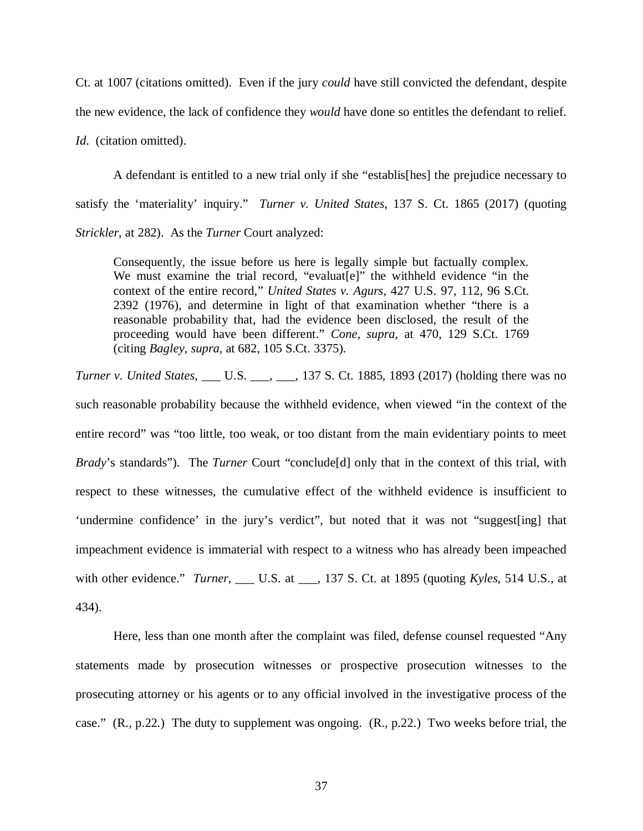Ct. at 1007 (citations omitted). Even if the jury *could* have still convicted the defendant, despite the new evidence, the lack of confidence they *would* have done so entitles the defendant to relief. *Id*. (citation omitted).

A defendant is entitled to a new trial only if she "establis[hes] the prejudice necessary to satisfy the 'materiality' inquiry." *Turner v. United States*, 137 S. Ct. 1865 (2017) (quoting *Strickler*, at 282). As the *Turner* Court analyzed:

Consequently, the issue before us here is legally simple but factually complex. We must examine the trial record, "evaluat[e]" the withheld evidence "in the context of the entire record," *United States v. Agurs,* 427 U.S. 97, 112, 96 S.Ct. 2392 (1976), and determine in light of that examination whether "there is a reasonable probability that, had the evidence been disclosed, the result of the proceeding would have been different." *Cone, supra,* at 470, 129 S.Ct. 1769 (citing *Bagley*, *supra,* at 682, 105 S.Ct. 3375).

*Turner v. United States*, \_\_\_ U.S. \_\_\_, \_\_\_, 137 S. Ct. 1885, 1893 (2017) (holding there was no such reasonable probability because the withheld evidence, when viewed "in the context of the entire record" was "too little, too weak, or too distant from the main evidentiary points to meet *Brady*'s standards"). The *Turner* Court "conclude [d] only that in the context of this trial, with respect to these witnesses, the cumulative effect of the withheld evidence is insufficient to 'undermine confidence' in the jury's verdict", but noted that it was not "suggest[ing] that impeachment evidence is immaterial with respect to a witness who has already been impeached with other evidence." *Turner*, \_\_\_ U.S. at \_\_\_, 137 S. Ct. at 1895 (quoting *Kyles*, 514 U.S., at 434).

Here, less than one month after the complaint was filed, defense counsel requested "Any statements made by prosecution witnesses or prospective prosecution witnesses to the prosecuting attorney or his agents or to any official involved in the investigative process of the case." (R., p.22.) The duty to supplement was ongoing. (R., p.22.) Two weeks before trial, the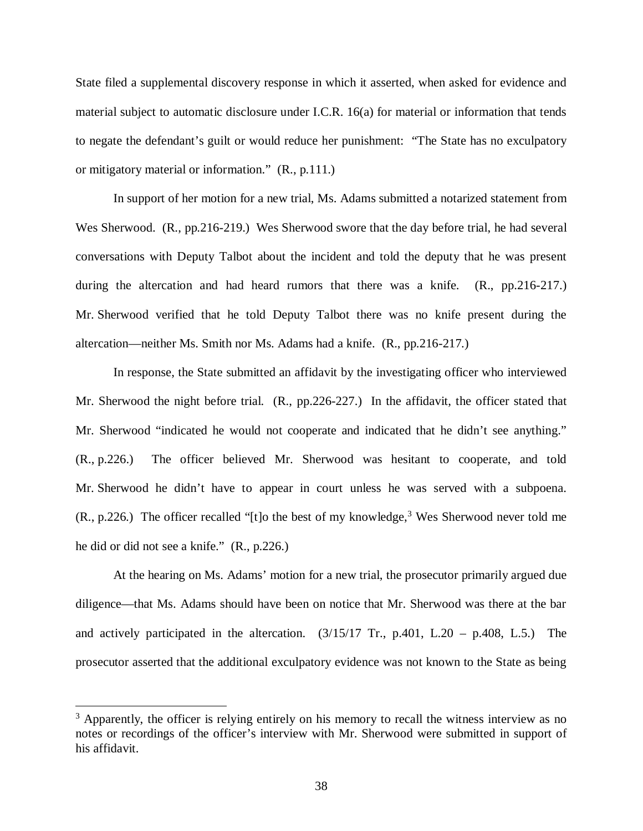State filed a supplemental discovery response in which it asserted, when asked for evidence and material subject to automatic disclosure under I.C.R. 16(a) for material or information that tends to negate the defendant's guilt or would reduce her punishment: "The State has no exculpatory or mitigatory material or information." (R., p.111.)

In support of her motion for a new trial, Ms. Adams submitted a notarized statement from Wes Sherwood. (R., pp.216-219.) Wes Sherwood swore that the day before trial, he had several conversations with Deputy Talbot about the incident and told the deputy that he was present during the altercation and had heard rumors that there was a knife. (R., pp.216-217.) Mr. Sherwood verified that he told Deputy Talbot there was no knife present during the altercation—neither Ms. Smith nor Ms. Adams had a knife. (R., pp.216-217.)

In response, the State submitted an affidavit by the investigating officer who interviewed Mr. Sherwood the night before trial. (R., pp.226-227.) In the affidavit, the officer stated that Mr. Sherwood "indicated he would not cooperate and indicated that he didn't see anything." (R., p.226.) The officer believed Mr. Sherwood was hesitant to cooperate, and told Mr. Sherwood he didn't have to appear in court unless he was served with a subpoena.  $(R., p.226.)$  The officer recalled "[t]o the best of my knowledge,<sup>3</sup> Wes Sherwood never told me he did or did not see a knife." (R., p.226.)

At the hearing on Ms. Adams' motion for a new trial, the prosecutor primarily argued due diligence—that Ms. Adams should have been on notice that Mr. Sherwood was there at the bar and actively participated in the altercation.  $(3/15/17 \text{ Tr.}, p.401, L.20 - p.408, L.5)$  The prosecutor asserted that the additional exculpatory evidence was not known to the State as being

<sup>&</sup>lt;sup>3</sup> Apparently, the officer is relying entirely on his memory to recall the witness interview as no notes or recordings of the officer's interview with Mr. Sherwood were submitted in support of his affidavit.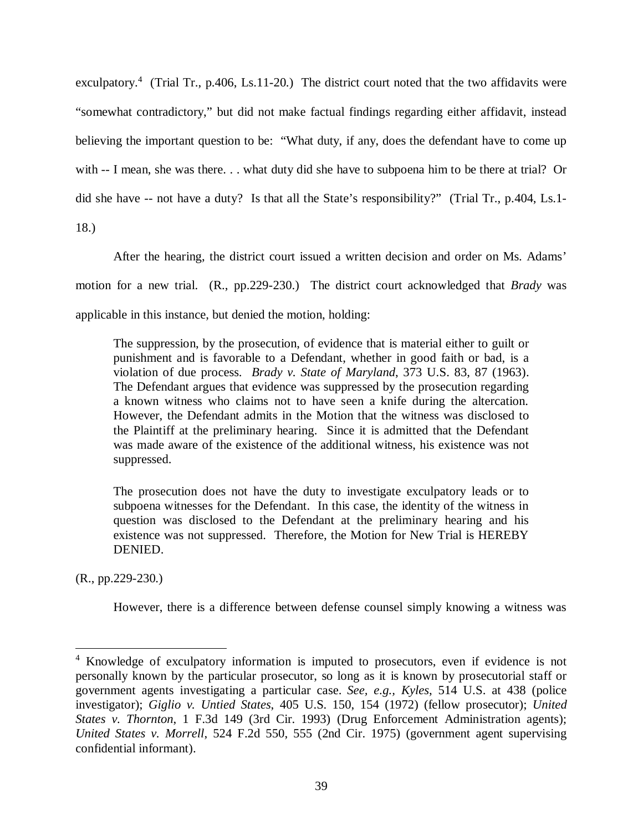exculpatory.<sup>4</sup> (Trial Tr., p.406, Ls.11-20.) The district court noted that the two affidavits were "somewhat contradictory," but did not make factual findings regarding either affidavit, instead believing the important question to be: "What duty, if any, does the defendant have to come up with -- I mean, she was there. . . what duty did she have to subpoena him to be there at trial? Or did she have -- not have a duty? Is that all the State's responsibility?" (Trial Tr., p.404, Ls.1- 18.)

After the hearing, the district court issued a written decision and order on Ms. Adams' motion for a new trial. (R., pp.229-230.) The district court acknowledged that *Brady* was applicable in this instance, but denied the motion, holding:

The suppression, by the prosecution, of evidence that is material either to guilt or punishment and is favorable to a Defendant, whether in good faith or bad, is a violation of due process. *Brady v. State of Maryland*, 373 U.S. 83, 87 (1963). The Defendant argues that evidence was suppressed by the prosecution regarding a known witness who claims not to have seen a knife during the altercation. However, the Defendant admits in the Motion that the witness was disclosed to the Plaintiff at the preliminary hearing. Since it is admitted that the Defendant was made aware of the existence of the additional witness, his existence was not suppressed.

The prosecution does not have the duty to investigate exculpatory leads or to subpoena witnesses for the Defendant. In this case, the identity of the witness in question was disclosed to the Defendant at the preliminary hearing and his existence was not suppressed. Therefore, the Motion for New Trial is HEREBY DENIED.

(R., pp.229-230.)

However, there is a difference between defense counsel simply knowing a witness was

<sup>&</sup>lt;sup>4</sup> Knowledge of exculpatory information is imputed to prosecutors, even if evidence is not personally known by the particular prosecutor, so long as it is known by prosecutorial staff or government agents investigating a particular case. *See, e.g., Kyles*, 514 U.S. at 438 (police investigator); *Giglio v. Untied States*, 405 U.S. 150, 154 (1972) (fellow prosecutor); *United States v. Thornton*, 1 F.3d 149 (3rd Cir. 1993) (Drug Enforcement Administration agents); *United States v. Morrell*, 524 F.2d 550, 555 (2nd Cir. 1975) (government agent supervising confidential informant).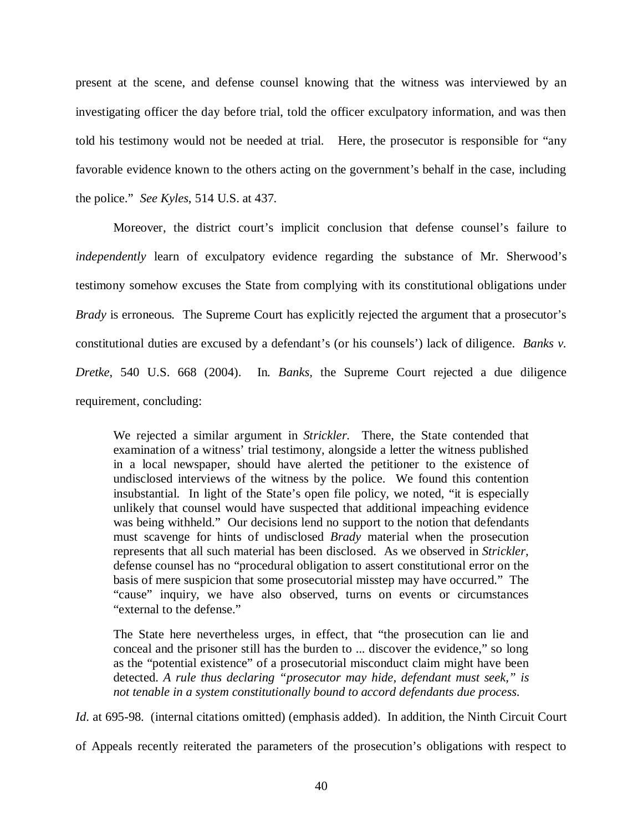present at the scene, and defense counsel knowing that the witness was interviewed by an investigating officer the day before trial, told the officer exculpatory information, and was then told his testimony would not be needed at trial. Here, the prosecutor is responsible for "any favorable evidence known to the others acting on the government's behalf in the case, including the police." *See Kyles*, 514 U.S. at 437.

 Moreover, the district court's implicit conclusion that defense counsel's failure to *independently* learn of exculpatory evidence regarding the substance of Mr. Sherwood's testimony somehow excuses the State from complying with its constitutional obligations under *Brady* is erroneous*.* The Supreme Court has explicitly rejected the argument that a prosecutor's constitutional duties are excused by a defendant's (or his counsels') lack of diligence. *Banks v. Dretke*, 540 U.S. 668 (2004). In*. Banks,* the Supreme Court rejected a due diligence requirement, concluding:

We rejected a similar argument in *Strickler.* There, the State contended that examination of a witness' trial testimony, alongside a letter the witness published in a local newspaper, should have alerted the petitioner to the existence of undisclosed interviews of the witness by the police. We found this contention insubstantial. In light of the State's open file policy, we noted, "it is especially unlikely that counsel would have suspected that additional impeaching evidence was being withheld." Our decisions lend no support to the notion that defendants must scavenge for hints of undisclosed *Brady* material when the prosecution represents that all such material has been disclosed. As we observed in *Strickler,* defense counsel has no "procedural obligation to assert constitutional error on the basis of mere suspicion that some prosecutorial misstep may have occurred." The "cause" inquiry, we have also observed, turns on events or circumstances "external to the defense."

The State here nevertheless urges, in effect, that "the prosecution can lie and conceal and the prisoner still has the burden to ... discover the evidence," so long as the "potential existence" of a prosecutorial misconduct claim might have been detected. *A rule thus declaring "prosecutor may hide, defendant must seek," is not tenable in a system constitutionally bound to accord defendants due process*.

*Id.* at 695-98. (internal citations omitted) (emphasis added). In addition, the Ninth Circuit Court

of Appeals recently reiterated the parameters of the prosecution's obligations with respect to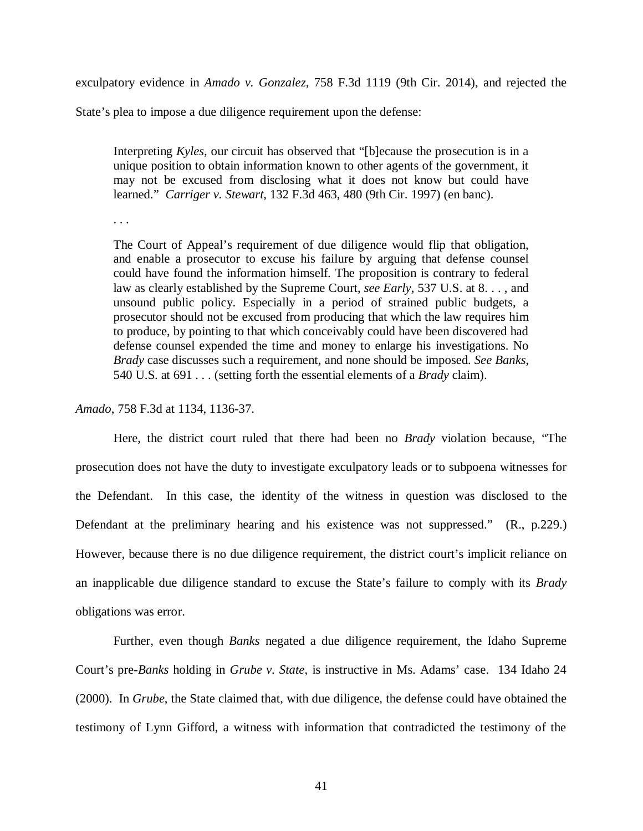exculpatory evidence in *Amado v. Gonzalez*, 758 F.3d 1119 (9th Cir. 2014), and rejected the

State's plea to impose a due diligence requirement upon the defense:

Interpreting *Kyles,* our circuit has observed that "[b]ecause the prosecution is in a unique position to obtain information known to other agents of the government, it may not be excused from disclosing what it does not know but could have learned." *Carriger v. Stewart*, 132 F.3d 463, 480 (9th Cir. 1997) (en banc).

. . .

The Court of Appeal's requirement of due diligence would flip that obligation, and enable a prosecutor to excuse his failure by arguing that defense counsel could have found the information himself. The proposition is contrary to federal law as clearly established by the Supreme Court, *see Early*, 537 U.S. at 8. . . , and unsound public policy. Especially in a period of strained public budgets, a prosecutor should not be excused from producing that which the law requires him to produce, by pointing to that which conceivably could have been discovered had defense counsel expended the time and money to enlarge his investigations. No *Brady* case discusses such a requirement, and none should be imposed. *See Banks*, 540 U.S. at 691 . . . (setting forth the essential elements of a *Brady* claim).

#### *Amado*, 758 F.3d at 1134, 1136-37.

Here, the district court ruled that there had been no *Brady* violation because, "The prosecution does not have the duty to investigate exculpatory leads or to subpoena witnesses for the Defendant. In this case, the identity of the witness in question was disclosed to the Defendant at the preliminary hearing and his existence was not suppressed." (R., p.229.) However, because there is no due diligence requirement, the district court's implicit reliance on an inapplicable due diligence standard to excuse the State's failure to comply with its *Brady* obligations was error.

Further, even though *Banks* negated a due diligence requirement, the Idaho Supreme Court's pre-*Banks* holding in *Grube v. State*, is instructive in Ms. Adams' case. 134 Idaho 24 (2000). In *Grube*, the State claimed that, with due diligence, the defense could have obtained the testimony of Lynn Gifford, a witness with information that contradicted the testimony of the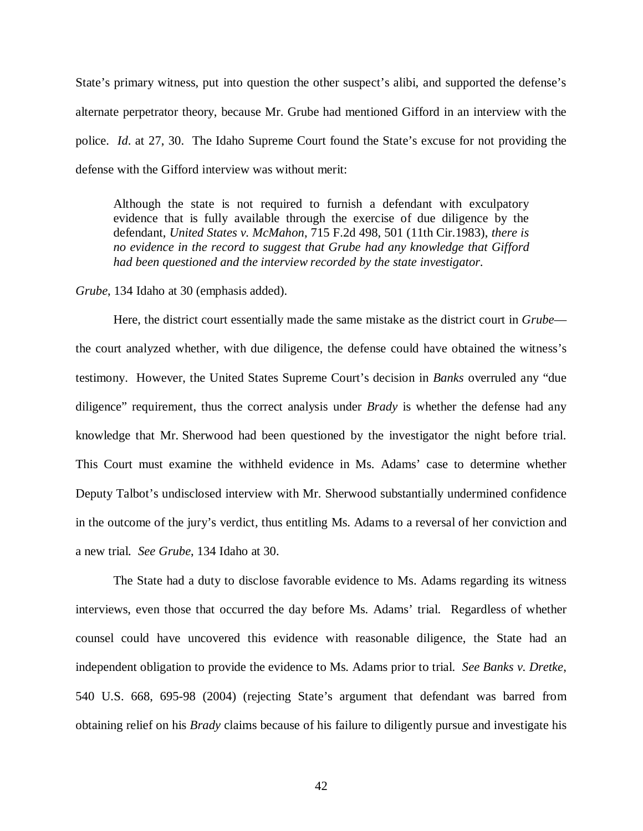State's primary witness, put into question the other suspect's alibi, and supported the defense's alternate perpetrator theory, because Mr. Grube had mentioned Gifford in an interview with the police. *Id*. at 27, 30. The Idaho Supreme Court found the State's excuse for not providing the defense with the Gifford interview was without merit:

Although the state is not required to furnish a defendant with exculpatory evidence that is fully available through the exercise of due diligence by the defendant, *United States v. McMahon*, 715 F.2d 498, 501 (11th Cir.1983), *there is no evidence in the record to suggest that Grube had any knowledge that Gifford had been questioned and the interview recorded by the state investigator*.

*Grube*, 134 Idaho at 30 (emphasis added).

Here, the district court essentially made the same mistake as the district court in *Grube* the court analyzed whether, with due diligence, the defense could have obtained the witness's testimony. However, the United States Supreme Court's decision in *Banks* overruled any "due diligence" requirement, thus the correct analysis under *Brady* is whether the defense had any knowledge that Mr. Sherwood had been questioned by the investigator the night before trial. This Court must examine the withheld evidence in Ms. Adams' case to determine whether Deputy Talbot's undisclosed interview with Mr. Sherwood substantially undermined confidence in the outcome of the jury's verdict, thus entitling Ms. Adams to a reversal of her conviction and a new trial. *See Grube*, 134 Idaho at 30.

The State had a duty to disclose favorable evidence to Ms. Adams regarding its witness interviews, even those that occurred the day before Ms. Adams' trial. Regardless of whether counsel could have uncovered this evidence with reasonable diligence, the State had an independent obligation to provide the evidence to Ms. Adams prior to trial. *See Banks v. Dretke*, 540 U.S. 668, 695-98 (2004) (rejecting State's argument that defendant was barred from obtaining relief on his *Brady* claims because of his failure to diligently pursue and investigate his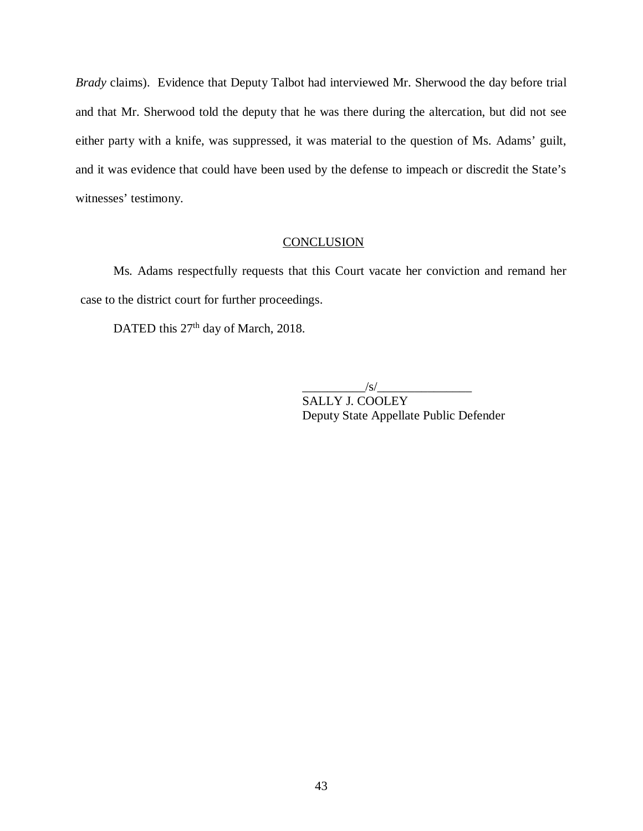*Brady* claims). Evidence that Deputy Talbot had interviewed Mr. Sherwood the day before trial and that Mr. Sherwood told the deputy that he was there during the altercation, but did not see either party with a knife, was suppressed, it was material to the question of Ms. Adams' guilt, and it was evidence that could have been used by the defense to impeach or discredit the State's witnesses' testimony.

### **CONCLUSION**

Ms. Adams respectfully requests that this Court vacate her conviction and remand her case to the district court for further proceedings.

DATED this 27<sup>th</sup> day of March, 2018.

 $\sqrt{s/2}$ 

SALLY J. COOLEY Deputy State Appellate Public Defender